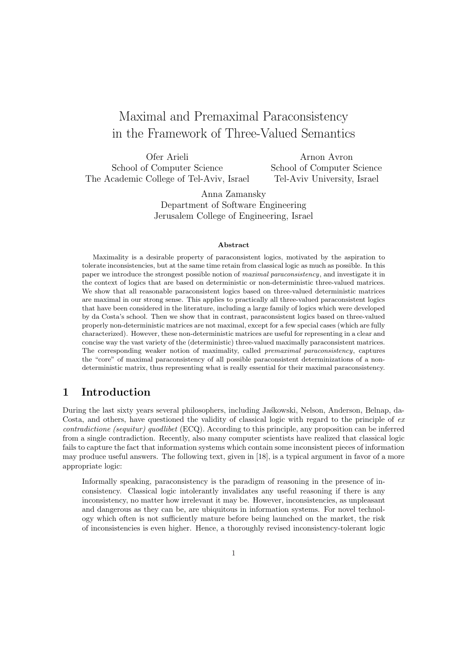# Maximal and Premaximal Paraconsistency in the Framework of Three-Valued Semantics

Ofer Arieli School of Computer Science The Academic College of Tel-Aviv, Israel

Arnon Avron School of Computer Science Tel-Aviv University, Israel

Anna Zamansky Department of Software Engineering Jerusalem College of Engineering, Israel

#### Abstract

Maximality is a desirable property of paraconsistent logics, motivated by the aspiration to tolerate inconsistencies, but at the same time retain from classical logic as much as possible. In this paper we introduce the strongest possible notion of maximal paraconsistency, and investigate it in the context of logics that are based on deterministic or non-deterministic three-valued matrices. We show that all reasonable paraconsistent logics based on three-valued deterministic matrices are maximal in our strong sense. This applies to practically all three-valued paraconsistent logics that have been considered in the literature, including a large family of logics which were developed by da Costa's school. Then we show that in contrast, paraconsistent logics based on three-valued properly non-deterministic matrices are not maximal, except for a few special cases (which are fully characterized). However, these non-deterministic matrices are useful for representing in a clear and concise way the vast variety of the (deterministic) three-valued maximally paraconsistent matrices. The corresponding weaker notion of maximality, called premaximal paraconsistency, captures the "core" of maximal paraconsistency of all possible paraconsistent determinizations of a nondeterministic matrix, thus representing what is really essential for their maximal paraconsistency.

### 1 Introduction

During the last sixty years several philosophers, including Jaskowski, Nelson, Anderson, Belnap, da-Costa, and others, have questioned the validity of classical logic with regard to the principle of  $ex$ contradictione (sequitur) quodlibet (ECQ). According to this principle, any proposition can be inferred from a single contradiction. Recently, also many computer scientists have realized that classical logic fails to capture the fact that information systems which contain some inconsistent pieces of information may produce useful answers. The following text, given in [18], is a typical argument in favor of a more appropriate logic:

Informally speaking, paraconsistency is the paradigm of reasoning in the presence of inconsistency. Classical logic intolerantly invalidates any useful reasoning if there is any inconsistency, no matter how irrelevant it may be. However, inconsistencies, as unpleasant and dangerous as they can be, are ubiquitous in information systems. For novel technology which often is not sufficiently mature before being launched on the market, the risk of inconsistencies is even higher. Hence, a thoroughly revised inconsistency-tolerant logic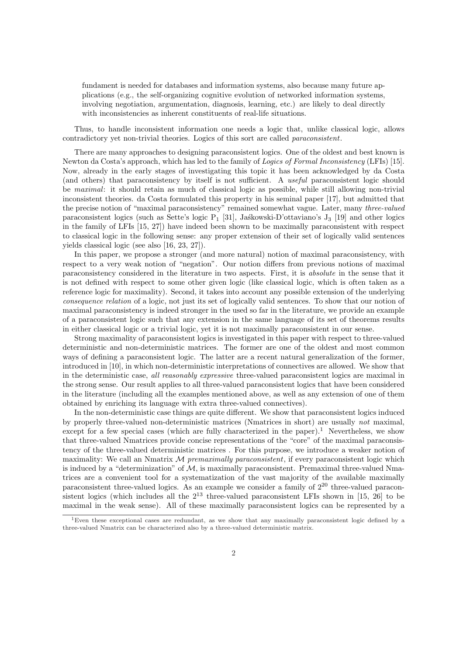fundament is needed for databases and information systems, also because many future applications (e.g., the self-organizing cognitive evolution of networked information systems, involving negotiation, argumentation, diagnosis, learning, etc.) are likely to deal directly with inconsistencies as inherent constituents of real-life situations.

Thus, to handle inconsistent information one needs a logic that, unlike classical logic, allows contradictory yet non-trivial theories. Logics of this sort are called paraconsistent.

There are many approaches to designing paraconsistent logics. One of the oldest and best known is Newton da Costa's approach, which has led to the family of Logics of Formal Inconsistency (LFIs) [15]. Now, already in the early stages of investigating this topic it has been acknowledged by da Costa (and others) that paraconsistency by itself is not sufficient. A useful paraconsistent logic should be maximal: it should retain as much of classical logic as possible, while still allowing non-trivial inconsistent theories. da Costa formulated this property in his seminal paper [17], but admitted that the precise notion of "maximal paraconsistency" remained somewhat vague. Later, many three-valued paraconsistent logics (such as Sette's logic  $P_1$  [31], Jaskowski-D'ottaviano's J<sub>3</sub> [19] and other logics in the family of LFIs [15, 27]) have indeed been shown to be maximally paraconsistent with respect to classical logic in the following sense: any proper extension of their set of logically valid sentences yields classical logic (see also [16, 23, 27]).

In this paper, we propose a stronger (and more natural) notion of maximal paraconsistency, with respect to a very weak notion of "negation". Our notion differs from previous notions of maximal paraconsistency considered in the literature in two aspects. First, it is absolute in the sense that it is not defined with respect to some other given logic (like classical logic, which is often taken as a reference logic for maximality). Second, it takes into account any possible extension of the underlying consequence relation of a logic, not just its set of logically valid sentences. To show that our notion of maximal paraconsistency is indeed stronger in the used so far in the literature, we provide an example of a paraconsistent logic such that any extension in the same language of its set of theorems results in either classical logic or a trivial logic, yet it is not maximally paraconsistent in our sense.

Strong maximality of paraconsistent logics is investigated in this paper with respect to three-valued deterministic and non-deterministic matrices. The former are one of the oldest and most common ways of defining a paraconsistent logic. The latter are a recent natural generalization of the former, introduced in [10], in which non-deterministic interpretations of connectives are allowed. We show that in the deterministic case, all reasonably expressive three-valued paraconsistent logics are maximal in the strong sense. Our result applies to all three-valued paraconsistent logics that have been considered in the literature (including all the examples mentioned above, as well as any extension of one of them obtained by enriching its language with extra three-valued connectives).

In the non-deterministic case things are quite different. We show that paraconsistent logics induced by properly three-valued non-deterministic matrices (Nmatrices in short) are usually not maximal, except for a few special cases (which are fully characterized in the paper).<sup>1</sup> Nevertheless, we show that three-valued Nmatrices provide concise representations of the "core" of the maximal paraconsistency of the three-valued deterministic matrices . For this purpose, we introduce a weaker notion of maximality: We call an Nmatrix  $M$  premaximally paraconsistent, if every paraconsistent logic which is induced by a "determinization" of  $M$ , is maximally paraconsistent. Premaximal three-valued Nmatrices are a convenient tool for a systematization of the vast majority of the available maximally paraconsistent three-valued logics. As an example we consider a family of  $2^{20}$  three-valued paraconsistent logics (which includes all the  $2^{13}$  three-valued paraconsistent LFIs shown in [15, 26] to be maximal in the weak sense). All of these maximally paraconsistent logics can be represented by a

<sup>&</sup>lt;sup>1</sup>Even these exceptional cases are redundant, as we show that any maximally paraconsistent logic defined by a three-valued Nmatrix can be characterized also by a three-valued deterministic matrix.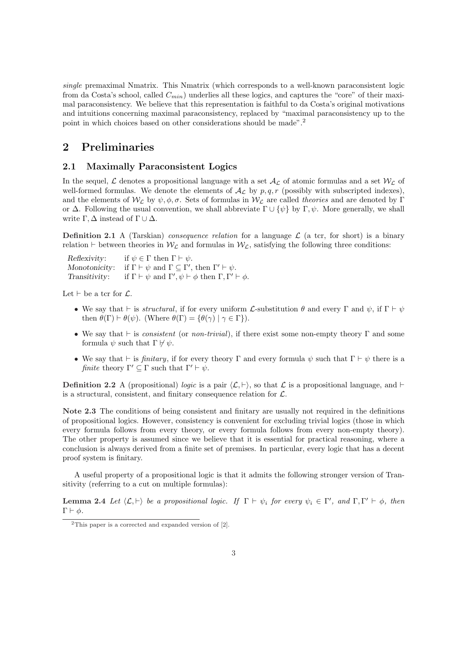single premaximal Nmatrix. This Nmatrix (which corresponds to a well-known paraconsistent logic from da Costa's school, called  $C_{min}$ ) underlies all these logics, and captures the "core" of their maximal paraconsistency. We believe that this representation is faithful to da Costa's original motivations and intuitions concerning maximal paraconsistency, replaced by "maximal paraconsistency up to the point in which choices based on other considerations should be made".<sup>2</sup>

### 2 Preliminaries

### 2.1 Maximally Paraconsistent Logics

In the sequel, L denotes a propositional language with a set  $A_{\mathcal{L}}$  of atomic formulas and a set  $W_{\mathcal{L}}$  of well-formed formulas. We denote the elements of  $A_{\mathcal{L}}$  by  $p, q, r$  (possibly with subscripted indexes), and the elements of  $W_{\mathcal{L}}$  by  $\psi$ ,  $\phi$ ,  $\sigma$ . Sets of formulas in  $W_{\mathcal{L}}$  are called theories and are denoted by Γ or  $\Delta$ . Following the usual convention, we shall abbreviate  $\Gamma \cup {\psi}$  by  $\Gamma, \psi$ . More generally, we shall write  $\Gamma, \Delta$  instead of  $\Gamma \cup \Delta$ .

**Definition 2.1** A (Tarskian) *consequence relation* for a language  $\mathcal{L}$  (a tcr, for short) is a binary relation  $\vdash$  between theories in  $W_{\mathcal{L}}$  and formulas in  $W_{\mathcal{L}}$ , satisfying the following three conditions:

Reflexivity: if  $\psi \in \Gamma$  then  $\Gamma \vdash \psi$ . Monotonicity: if  $\Gamma \vdash \psi$  and  $\Gamma \subseteq \Gamma'$ , then  $\Gamma' \vdash \psi$ . Transitivity: if  $\Gamma \vdash \psi$  and  $\Gamma', \psi \vdash \phi$  then  $\Gamma, \Gamma' \vdash \phi$ .

Let  $\vdash$  be a tcr for  $\mathcal{L}$ .

- We say that  $\vdash$  is *structural*, if for every uniform  $\mathcal{L}$ -substitution  $\theta$  and every  $\Gamma$  and  $\psi$ , if  $\Gamma \vdash \psi$ then  $\theta(\Gamma) \vdash \theta(\psi)$ . (Where  $\theta(\Gamma) = {\theta(\gamma) | \gamma \in \Gamma}$ ).
- We say that  $\vdash$  is consistent (or non-trivial), if there exist some non-empty theory  $\Gamma$  and some formula  $\psi$  such that  $\Gamma \not\vdash \psi$ .
- We say that  $\vdash$  is *finitary*, if for every theory Γ and every formula  $\psi$  such that  $\Gamma \vdash \psi$  there is a finite theory  $\Gamma' \subseteq \Gamma$  such that  $\Gamma' \vdash \psi$ .

**Definition 2.2** A (propositional) logic is a pair  $\langle \mathcal{L}, \vdash \rangle$ , so that  $\mathcal{L}$  is a propositional language, and  $\vdash$ is a structural, consistent, and finitary consequence relation for  $\mathcal{L}$ .

Note 2.3 The conditions of being consistent and finitary are usually not required in the definitions of propositional logics. However, consistency is convenient for excluding trivial logics (those in which every formula follows from every theory, or every formula follows from every non-empty theory). The other property is assumed since we believe that it is essential for practical reasoning, where a conclusion is always derived from a finite set of premises. In particular, every logic that has a decent proof system is finitary.

A useful property of a propositional logic is that it admits the following stronger version of Transitivity (referring to a cut on multiple formulas):

**Lemma 2.4** Let  $\langle \mathcal{L}, \vdash \rangle$  be a propositional logic. If  $\Gamma \vdash \psi_i$  for every  $\psi_i \in \Gamma'$ , and  $\Gamma, \Gamma' \vdash \phi$ , then  $\Gamma \vdash \phi$ .

<sup>2</sup>This paper is a corrected and expanded version of [2].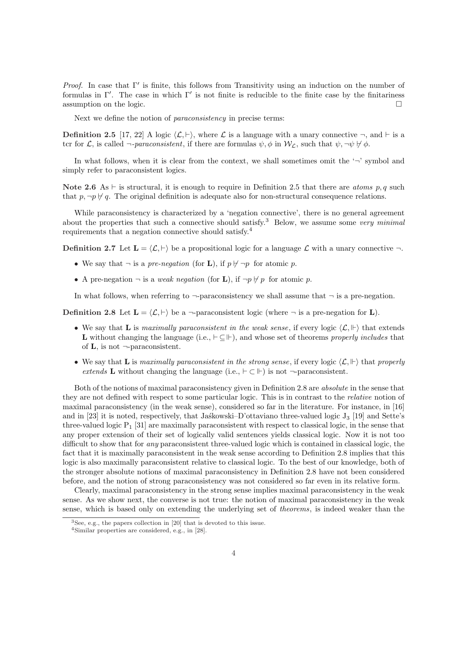Proof. In case that  $\Gamma'$  is finite, this follows from Transitivity using an induction on the number of formulas in  $\Gamma'$ . The case in which  $\Gamma'$  is not finite is reducible to the finite case by the finitariness assumption on the logic.  $\Box$ 

Next we define the notion of *paraconsistency* in precise terms:

**Definition 2.5** [17, 22] A logic  $\langle \mathcal{L}, \vdash \rangle$ , where L is a language with a unary connective  $\neg$ , and  $\vdash$  is a tcr for L, is called  $\neg$ -paraconsistent, if there are formulas  $\psi$ ,  $\phi$  in  $\mathcal{W}_{\mathcal{L}}$ , such that  $\psi$ ,  $\neg \psi \nvdash \phi$ .

In what follows, when it is clear from the context, we shall sometimes omit the  $\sim$  symbol and simply refer to paraconsistent logics.

Note 2.6 As  $\vdash$  is structural, it is enough to require in Definition 2.5 that there are *atoms* p, q such that  $p, \neg p \nmid q$ . The original definition is adequate also for non-structural consequence relations.

While paraconsistency is characterized by a 'negation connective', there is no general agreement about the properties that such a connective should satisfy.<sup>3</sup> Below, we assume some very minimal requirements that a negation connective should satisfy.<sup>4</sup>

**Definition 2.7** Let  $\mathbf{L} = \langle \mathcal{L}, \vdash \rangle$  be a propositional logic for a language  $\mathcal{L}$  with a unary connective  $\neg$ .

- We say that  $\neg$  is a *pre-negation* (for **L**), if  $p \nvdash \neg p$  for atomic p.
- A pre-negation  $\neg$  is a *weak negation* (for **L**), if  $\neg p \nvdash p$  for atomic p.

In what follows, when referring to  $\neg$ -paraconsistency we shall assume that  $\neg$  is a pre-negation.

**Definition 2.8** Let  $\mathbf{L} = \langle \mathcal{L}, \vdash \rangle$  be a  $\neg$ -paraconsistent logic (where  $\neg$  is a pre-negation for **L**).

- We say that **L** is maximally paraconsistent in the weak sense, if every logic  $\langle \mathcal{L}, \Vdash \rangle$  that extends L without changing the language (i.e.,  $\vdash \subseteq \Vdash$ ), and whose set of theorems properly includes that of  $\mathbf{L}$ , is not  $\neg$ -paraconsistent.
- We say that **L** is maximally paraconsistent in the strong sense, if every logic  $\langle \mathcal{L}, \Vdash \rangle$  that properly extends **L** without changing the language (i.e.,  $\vdash \subset \Vdash$ ) is not  $\neg$ -paraconsistent.

Both of the notions of maximal paraconsistency given in Definition 2.8 are absolute in the sense that they are not defined with respect to some particular logic. This is in contrast to the relative notion of maximal paraconsistency (in the weak sense), considered so far in the literature. For instance, in [16] and in [23] it is noted, respectively, that Jaskowski–D'ottaviano three-valued logic  $J_3$  [19] and Sette's three-valued logic  $P_1$  [31] are maximally paraconsistent with respect to classical logic, in the sense that any proper extension of their set of logically valid sentences yields classical logic. Now it is not too difficult to show that for *any* paraconsistent three-valued logic which is contained in classical logic, the fact that it is maximally paraconsistent in the weak sense according to Definition 2.8 implies that this logic is also maximally paraconsistent relative to classical logic. To the best of our knowledge, both of the stronger absolute notions of maximal paraconsistency in Definition 2.8 have not been considered before, and the notion of strong paraconsistency was not considered so far even in its relative form.

Clearly, maximal paraconsistency in the strong sense implies maximal paraconsistency in the weak sense. As we show next, the converse is not true: the notion of maximal paraconsistency in the weak sense, which is based only on extending the underlying set of theorems, is indeed weaker than the

 ${}^{3}$ See, e.g., the papers collection in [20] that is devoted to this issue.

<sup>4</sup>Similar properties are considered, e.g., in [28].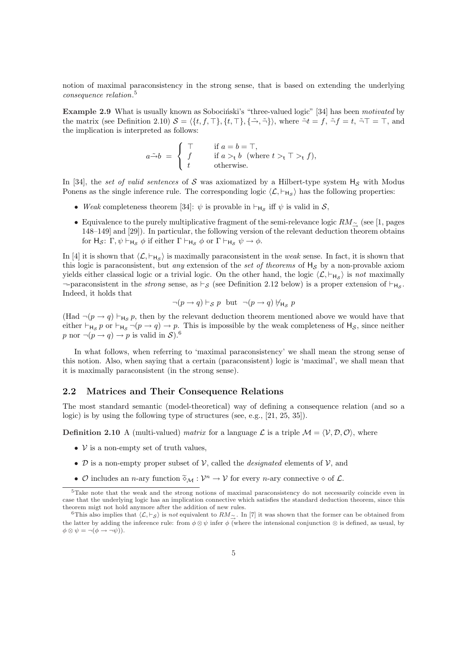notion of maximal paraconsistency in the strong sense, that is based on extending the underlying consequence relation. 5

Example 2.9 What is usually known as Sobocinski's "three-valued logic" [34] has been motivated by the matrix (see Definition 2.10)  $S = \langle \{t, f, \top\}, \{t, \top\}, \{\tilde{\rightarrow}, \tilde{\neg}\}\rangle$ , where  $\tilde{\neg}t = f, \tilde{\neg}f = t, \tilde{\neg}T = \top$ , and the implication is interpreted as follows:

$$
a \tilde{\rightarrow} b = \begin{cases} \top & \text{if } a = b = \top, \\ f & \text{if } a >_t b \text{ (where } t >_t \top >_t f), \\ t & \text{otherwise.} \end{cases}
$$

In [34], the set of valid sentences of S was axiomatized by a Hilbert-type system  $H_S$  with Modus Ponens as the single inference rule. The corresponding logic  $\langle \mathcal{L}, \vdash_{H_S} \rangle$  has the following properties:

- Weak completeness theorem [34]:  $\psi$  is provable in  $\vdash_{H_{\mathcal{S}}}$  iff  $\psi$  is valid in  $\mathcal{S},$
- Equivalence to the purely multiplicative fragment of the semi-relevance logic  $RM \sim$  (see [1, pages] 148–149] and [29]). In particular, the following version of the relevant deduction theorem obtains for  $H_S: \Gamma, \psi \vdash_{H_S} \phi$  if either  $\Gamma \vdash_{H_S} \phi$  or  $\Gamma \vdash_{H_S} \psi \rightarrow \phi$ .

In [4] it is shown that  $\langle \mathcal{L}, \vdash_{H_{\mathcal{S}}} \rangle$  is maximally paraconsistent in the weak sense. In fact, it is shown that this logic is paraconsistent, but *any* extension of the set of theorems of  $H_S$  by a non-provable axiom yields either classical logic or a trivial logic. On the other hand, the logic  $\langle \mathcal{L}, \vdash_{H_{\mathcal{S}}} \rangle$  is not maximally  $\rightarrow$ -paraconsistent in the *strong* sense, as  $\vdash_S$  (see Definition 2.12 below) is a proper extension of  $\vdash_{\mathsf{H}_S}$ . Indeed, it holds that

$$
\neg(p \to q) \vdash_{\mathcal{S}} p \text{ but } \neg(p \to q) \not\vdash_{\mathsf{H}_{\mathcal{S}}} p
$$

(Had  $\neg(p \rightarrow q) \vdash_{\mathsf{H}_\mathcal{S}} p$ , then by the relevant deduction theorem mentioned above we would have that either  $\vdash_{\mathsf{H}_\mathcal{S}} p$  or  $\vdash_{\mathsf{H}_\mathcal{S}} \neg(p \to q) \to p$ . This is impossible by the weak completeness of  $\mathsf{H}_\mathcal{S}$ , since neither p nor  $\neg(p \rightarrow q) \rightarrow p$  is valid in S).<sup>6</sup>

In what follows, when referring to 'maximal paraconsistency' we shall mean the strong sense of this notion. Also, when saying that a certain (paraconsistent) logic is 'maximal', we shall mean that it is maximally paraconsistent (in the strong sense).

### 2.2 Matrices and Their Consequence Relations

The most standard semantic (model-theoretical) way of defining a consequence relation (and so a logic) is by using the following type of structures (see, e.g., [21, 25, 35]).

**Definition 2.10** A (multi-valued) matrix for a language L is a triple  $M = \langle V, D, O \rangle$ , where

- $V$  is a non-empty set of truth values,
- $D$  is a non-empty proper subset of  $V$ , called the *designated* elements of  $V$ , and
- O includes an *n*-ary function  $\tilde{\diamond}_{\mathcal{M}} : \mathcal{V}^n \to \mathcal{V}$  for every *n*-ary connective  $\diamond$  of  $\mathcal{L}$ .

<sup>5</sup>Take note that the weak and the strong notions of maximal paraconsistency do not necessarily coincide even in case that the underlying logic has an implication connective which satisfies the standard deduction theorem, since this theorem migt not hold anymore after the addition of new rules.

<sup>6</sup>This also implies that  $\langle \mathcal{L}, \vdash_S \rangle$  is not equivalent to RM<sub>∼</sub>. In [7] it was shown that the former can be obtained from the latter by adding the inference rule: from  $\phi \otimes \psi$  infer  $\phi$  (where the intensional conjunction  $\otimes$  is defined, as usual, by  $\phi \otimes \psi = \neg(\phi \rightarrow \neg \psi).$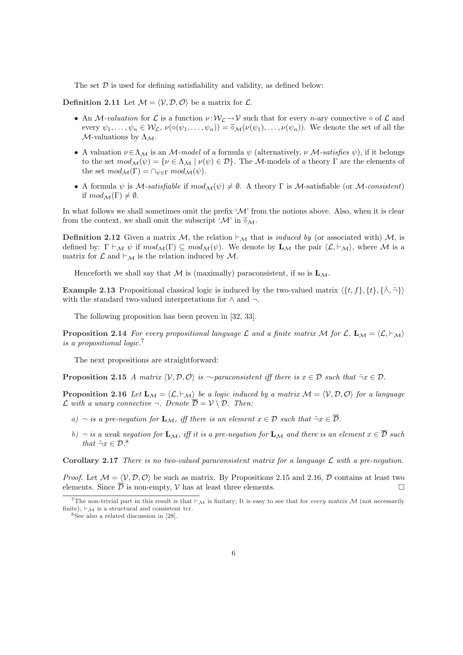The set  $\mathcal D$  is used for defining satisfiability and validity, as defined below:

**Definition 2.11** Let  $M = \langle V, \mathcal{D}, \mathcal{O} \rangle$  be a matrix for  $\mathcal{L}$ .

- An M-valuation for L is a function  $\nu : W_{\mathcal{L}} \to V$  such that for every n-ary connective  $\diamond$  of L and every  $\psi_1, \ldots, \psi_n \in \mathcal{W}_{\mathcal{L}}, \nu(\diamond(\psi_1, \ldots, \psi_n)) = \widetilde{\diamond}_{\mathcal{M}}(\nu(\psi_1), \ldots, \nu(\psi_n)).$  We denote the set of all the  $M$ -valuations by  $\Lambda_M$ .
- A valuation  $\nu \in \Lambda_M$  is an M-model of a formula  $\psi$  (alternatively,  $\nu$  M-satisfies  $\psi$ ), if it belongs to the set  $mod_{\mathcal{M}}(\psi) = {\nu \in \Lambda_{\mathcal{M}} \mid \nu(\psi) \in \mathcal{D}}.$  The M-models of a theory  $\Gamma$  are the elements of the set  $mod_{\mathcal{M}}(\Gamma) = \cap_{\psi \in \Gamma} mod_{\mathcal{M}}(\psi)$ .
- A formula  $\psi$  is M-satisfiable if  $mod_{\mathcal{M}}(\psi) \neq \emptyset$ . A theory  $\Gamma$  is M-satisfiable (or M-consistent) if  $mod_{\mathcal{M}}(\Gamma) \neq \emptyset$ .

In what follows we shall sometimes omit the prefix ' $\mathcal{M}$ ' from the notions above. Also, when it is clear from the context, we shall omit the subscript ' $\mathcal{M}$ ' in  $\widetilde{\diamond}_{\mathcal{M}}$ .

**Definition 2.12** Given a matrix M, the relation  $\vdash_{\mathcal{M}}$  that is *induced by* (or associated with) M, is defined by:  $\Gamma \vdash_{\mathcal{M}} \psi$  if  $mod_{\mathcal{M}}(\Gamma) \subseteq mod_{\mathcal{M}}(\psi)$ . We denote by  $\mathbf{L}_{\mathcal{M}}$  the pair  $\langle \mathcal{L}, \vdash_{\mathcal{M}} \rangle$ , where M is a matrix for  $\mathcal L$  and  $\vdash_{\mathcal M}$  is the relation induced by  $\mathcal M$ .

Henceforth we shall say that M is (maximally) paraconsistent, if so is  $\mathbf{L}_{\mathcal{M}}$ .

Example 2.13 Propositional classical logic is induced by the two-valued matrix  $\langle \{t, f\}, \{t\}, \{\tilde{\wedge}, \tilde{\neg}\}\rangle$ with the standard two-valued interpretations for  $\land$  and  $\neg$ .

The following proposition has been proven in [32, 33].

**Proposition 2.14** For every propositional language L and a finite matrix M for L,  $\mathbf{L}_{\mathcal{M}} = \langle \mathcal{L}, \vdash_{\mathcal{M}} \rangle$ is a propositional logic.<sup>7</sup>

The next propositions are straightforward:

**Proposition 2.15** A matrix  $\langle V, \mathcal{D}, \mathcal{O} \rangle$  is  $\neg$ -paraconsistent iff there is  $x \in \mathcal{D}$  such that  $\tilde{\neg} x \in \mathcal{D}$ .

**Proposition 2.16** Let  $\mathbf{L}_{\mathcal{M}} = \langle \mathcal{L}, \vdash_{\mathcal{M}} \rangle$  be a logic induced by a matrix  $\mathcal{M} = \langle \mathcal{V}, \mathcal{D}, \mathcal{O} \rangle$  for a language  $\mathcal L$  with a unary connective  $\neg$ . Denote  $\overline{\mathcal D} = \mathcal V \setminus \mathcal D$ . Then:

- a)  $\neg$  is a pre-negation for  $\mathbf{L}_{\mathcal{M}}$ , iff there is an element  $x \in \mathcal{D}$  such that  $\tilde{\neg} x \in \overline{\mathcal{D}}$ .
- b)  $\neg$  is a weak negation for  $\mathbf{L}_{\mathcal{M}}$ , iff it is a pre-negation for  $\mathbf{L}_{\mathcal{M}}$  and there is an element  $x \in \overline{\mathcal{D}}$  such that  $\tilde{\neg} x \in \mathcal{D}^8$ .

Corollary 2.17 There is no two-valued paraconsistent matrix for a language  $\mathcal L$  with a pre-negation.

*Proof.* Let  $M = \langle V, \mathcal{D}, \mathcal{O} \rangle$  be such as matrix. By Propositions 2.15 and 2.16, D contains at least two elements. Since  $\overline{\mathcal{D}}$  is non-empty,  $\mathcal V$  has at least three elements.

<sup>&</sup>lt;sup>7</sup>The non-trivial part in this result is that  $\vdash_{\mathcal{M}}$  is finitary; It is easy to see that for *every* matrix M (not necessarily finite),  $\vdash_{\mathcal{M}}$  is a structural and consistent tcr.

<sup>8</sup>See also a related discussion in [28].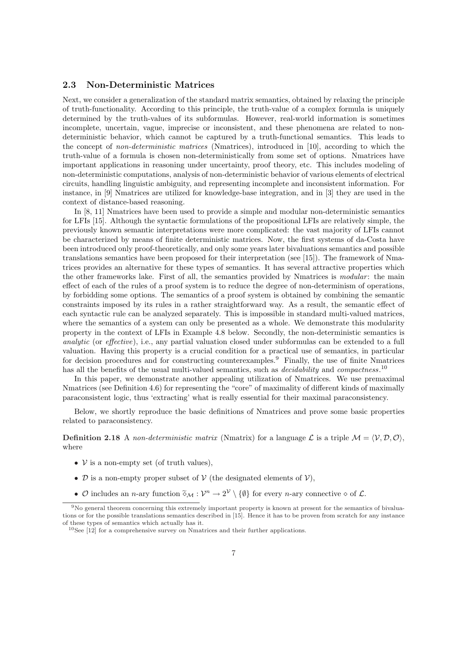### 2.3 Non-Deterministic Matrices

Next, we consider a generalization of the standard matrix semantics, obtained by relaxing the principle of truth-functionality. According to this principle, the truth-value of a complex formula is uniquely determined by the truth-values of its subformulas. However, real-world information is sometimes incomplete, uncertain, vague, imprecise or inconsistent, and these phenomena are related to nondeterministic behavior, which cannot be captured by a truth-functional semantics. This leads to the concept of non-deterministic matrices (Nmatrices), introduced in [10], according to which the truth-value of a formula is chosen non-deterministically from some set of options. Nmatrices have important applications in reasoning under uncertainty, proof theory, etc. This includes modeling of non-deterministic computations, analysis of non-deterministic behavior of various elements of electrical circuits, handling linguistic ambiguity, and representing incomplete and inconsistent information. For instance, in [9] Nmatrices are utilized for knowledge-base integration, and in [3] they are used in the context of distance-based reasoning.

In [8, 11] Nmatrices have been used to provide a simple and modular non-deterministic semantics for LFIs [15]. Although the syntactic formulations of the propositional LFIs are relatively simple, the previously known semantic interpretations were more complicated: the vast majority of LFIs cannot be characterized by means of finite deterministic matrices. Now, the first systems of da-Costa have been introduced only proof-theoretically, and only some years later bivaluations semantics and possible translations semantics have been proposed for their interpretation (see [15]). The framework of Nmatrices provides an alternative for these types of semantics. It has several attractive properties which the other frameworks lake. First of all, the semantics provided by Nmatrices is modular: the main effect of each of the rules of a proof system is to reduce the degree of non-determinism of operations, by forbidding some options. The semantics of a proof system is obtained by combining the semantic constraints imposed by its rules in a rather straightforward way. As a result, the semantic effect of each syntactic rule can be analyzed separately. This is impossible in standard multi-valued matrices, where the semantics of a system can only be presented as a whole. We demonstrate this modularity property in the context of LFIs in Example 4.8 below. Secondly, the non-deterministic semantics is analytic (or effective), i.e., any partial valuation closed under subformulas can be extended to a full valuation. Having this property is a crucial condition for a practical use of semantics, in particular for decision procedures and for constructing counterexamples.<sup>9</sup> Finally, the use of finite Nmatrices has all the benefits of the usual multi-valued semantics, such as *decidability* and *compactness*.<sup>10</sup>

In this paper, we demonstrate another appealing utilization of Nmatrices. We use premaximal Nmatrices (see Definition 4.6) for representing the "core" of maximality of different kinds of maximally paraconsistent logic, thus 'extracting' what is really essential for their maximal paraconsistency.

Below, we shortly reproduce the basic definitions of Nmatrices and prove some basic properties related to paraconsistency.

**Definition 2.18** A non-deterministic matrix (Nmatrix) for a language  $\mathcal{L}$  is a triple  $\mathcal{M} = \langle \mathcal{V}, \mathcal{D}, \mathcal{O} \rangle$ , where

- $V$  is a non-empty set (of truth values),
- D is a non-empty proper subset of  $V$  (the designated elements of  $V$ ),
- O includes an *n*-ary function  $\widetilde{\diamond}_{\mathcal{M}} : \mathcal{V}^n \to 2^{\mathcal{V}} \setminus \{\emptyset\}$  for every *n*-ary connective  $\diamond$  of  $\mathcal{L}$ .

<sup>9</sup>No general theorem concerning this extremely important property is known at present for the semantics of bivaluations or for the possible translations semantics described in [15]. Hence it has to be proven from scratch for any instance of these types of semantics which actually has it.

 $10$ See [12] for a comprehensive survey on Nmatrices and their further applications.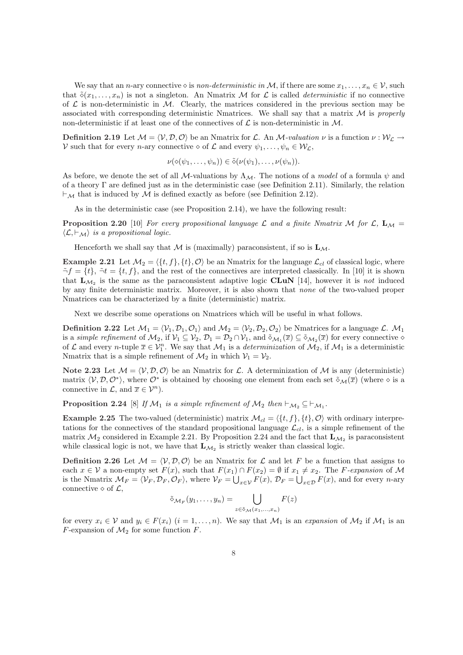We say that an *n*-ary connective  $\diamond$  is non-deterministic in M, if there are some  $x_1, \ldots, x_n \in V$ , such that  $\delta(x_1, \ldots, x_n)$  is not a singleton. An Nmatrix M for L is called *deterministic* if no connective of  $\mathcal L$  is non-deterministic in  $\mathcal M$ . Clearly, the matrices considered in the previous section may be associated with corresponding deterministic Nmatrices. We shall say that a matrix  $M$  is properly non-deterministic if at least one of the connectives of  $\mathcal L$  is non-deterministic in  $\mathcal M$ .

**Definition 2.19** Let  $M = \langle V, \mathcal{D}, \mathcal{O} \rangle$  be an Nmatrix for L. An M-valuation  $\nu$  is a function  $\nu : W_L \to W$ V such that for every *n*-ary connective  $\diamond$  of  $\mathcal L$  and every  $\psi_1, \ldots, \psi_n \in \mathcal W_{\mathcal L}$ ,

$$
\nu(\diamond(\psi_1,\ldots,\psi_n))\in\tilde{\diamond}(\nu(\psi_1),\ldots,\nu(\psi_n)).
$$

As before, we denote the set of all M-valuations by  $\Lambda_{\mathcal{M}}$ . The notions of a model of a formula  $\psi$  and of a theory  $\Gamma$  are defined just as in the deterministic case (see Definition 2.11). Similarly, the relation  $\vdash_{\mathcal{M}}$  that is induced by  $\mathcal M$  is defined exactly as before (see Definition 2.12).

As in the deterministic case (see Proposition 2.14), we have the following result:

**Proposition 2.20** [10] For every propositional language L and a finite Nmatrix M for L,  $\mathbf{L}_M$  =  $\langle \mathcal{L}, \vdash_{\mathcal{M}} \rangle$  is a propositional logic.

Henceforth we shall say that  $M$  is (maximally) paraconsistent, if so is  $L_M$ .

**Example 2.21** Let  $\mathcal{M}_2 = \{ \{t, f\}, \{t\}, \emptyset \}$  be an Nmatrix for the language  $\mathcal{L}_{cl}$  of classical logic, where  $\tilde{\neg} f = \{t\}, \tilde{\neg} t = \{t, f\},$  and the rest of the connectives are interpreted classically. In [10] it is shown that  $L_{\mathcal{M}_2}$  is the same as the paraconsistent adaptive logic CLuN [14], however it is not induced by any finite deterministic matrix. Moreover, it is also shown that none of the two-valued proper Nmatrices can be characterized by a finite (deterministic) matrix.

Next we describe some operations on Nmatrices which will be useful in what follows.

**Definition 2.22** Let  $M_1 = \langle V_1, \mathcal{D}_1, \mathcal{O}_1 \rangle$  and  $M_2 = \langle V_2, \mathcal{D}_2, \mathcal{O}_2 \rangle$  be Nmatrices for a language L.  $M_1$ is a *simple refinement* of  $M_2$ , if  $\mathcal{V}_1 \subseteq \mathcal{V}_2$ ,  $\mathcal{D}_1 = \mathcal{D}_2 \cap \mathcal{V}_1$ , and  $\tilde{\diamond}_{\mathcal{M}_1}(\overline{x}) \subseteq \tilde{\diamond}_{\mathcal{M}_2}(\overline{x})$  for every connective  $\diamond$ of L and every n-tuple  $\bar{x} \in V_1^n$ . We say that  $\mathcal{M}_1$  is a determinization of  $\mathcal{M}_2$ , if  $\mathcal{M}_1$  is a deterministic Nmatrix that is a simple refinement of  $\mathcal{M}_2$  in which  $\mathcal{V}_1 = \mathcal{V}_2$ .

Note 2.23 Let  $\mathcal{M} = \langle \mathcal{V}, \mathcal{D}, \mathcal{O} \rangle$  be an Nmatrix for L. A determinization of M is any (deterministic) matrix  $\langle V, \mathcal{D}, \mathcal{O}^* \rangle$ , where  $\mathcal{O}^*$  is obtained by choosing one element from each set  $\tilde{\diamond}_{\mathcal{M}}(\overline{x})$  (where  $\diamond$  is a connective in  $\mathcal{L}$ , and  $\overline{x} \in \mathcal{V}^n$ .

**Proposition 2.24** [8] If  $\mathcal{M}_1$  is a simple refinement of  $\mathcal{M}_2$  then  $\vdash_{\mathcal{M}_2} \subseteq \vdash_{\mathcal{M}_1}$ .

Example 2.25 The two-valued (deterministic) matrix  $\mathcal{M}_{cl} = \langle \{t, f\}, \{t\}, \mathcal{O} \rangle$  with ordinary interpretations for the connectives of the standard propositional language  $\mathcal{L}_{cl}$ , is a simple refinement of the matrix  $\mathcal{M}_2$  considered in Example 2.21. By Proposition 2.24 and the fact that  $\mathbf{L}_{\mathcal{M}_2}$  is paraconsistent while classical logic is not, we have that  $\mathbf{L}_{\mathcal{M}_2}$  is strictly weaker than classical logic.

**Definition 2.26** Let  $M = \langle V, \mathcal{D}, \mathcal{O} \rangle$  be an Nmatrix for  $\mathcal{L}$  and let F be a function that assigns to each  $x \in V$  a non-empty set  $F(x)$ , such that  $F(x_1) \cap F(x_2) = \emptyset$  if  $x_1 \neq x_2$ . The F-expansion of M is the Nmatrix  $\mathcal{M}_F = \langle \mathcal{V}_F, \mathcal{D}_F, \mathcal{O}_F \rangle$ , where  $\mathcal{V}_F = \bigcup_{x \in \mathcal{V}} F(x)$ ,  $\mathcal{D}_F = \bigcup_{x \in \mathcal{D}} F(x)$ , and for every *n*-ary connective  $\diamond$  of  $\mathcal{L}$ ,

$$
\tilde{\diamond}_{\mathcal{M}_F}(y_1,\ldots,y_n)=\bigcup_{z\in\tilde{\diamond}_{\mathcal{M}}(x_1,\ldots,x_n)}F(z)
$$

for every  $x_i \in V$  and  $y_i \in F(x_i)$   $(i = 1, ..., n)$ . We say that  $\mathcal{M}_1$  is an expansion of  $\mathcal{M}_2$  if  $\mathcal{M}_1$  is an F-expansion of  $\mathcal{M}_2$  for some function F.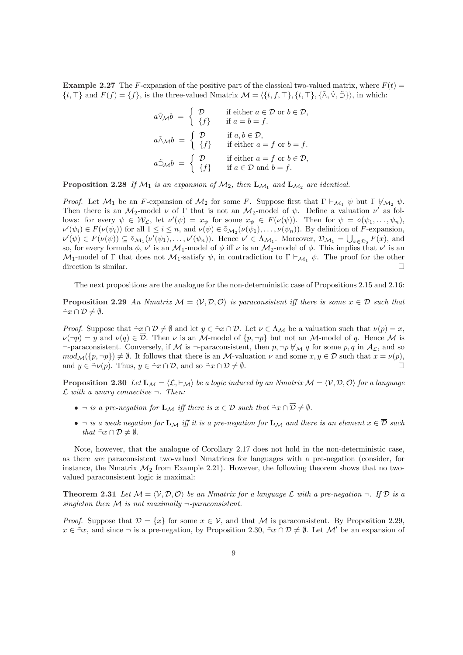**Example 2.27** The F-expansion of the positive part of the classical two-valued matrix, where  $F(t)$  =  $\{t, \top\}$  and  $F(f) = \{f\}$ , is the three-valued Nmatrix  $\mathcal{M} = \{\{t, f, \top\}, \{t, \top\}, \{\tilde{\wedge}, \tilde{\vee}, \tilde{\supset}\}\}\)$ , in which:

$$
a\tilde{\vee}_{\mathcal{M}}b = \begin{cases} \mathcal{D} & \text{if either } a \in \mathcal{D} \text{ or } b \in \mathcal{D}, \\ \{f\} & \text{if } a = b = f. \end{cases}
$$
  

$$
a\tilde{\wedge}_{\mathcal{M}}b = \begin{cases} \mathcal{D} & \text{if } a,b \in \mathcal{D}, \\ \{f\} & \text{if either } a = f \text{ or } b = f. \end{cases}
$$
  

$$
a\tilde{\supset}_{\mathcal{M}}b = \begin{cases} \mathcal{D} & \text{if either } a = f \text{ or } b \in \mathcal{D}, \\ \{f\} & \text{if } a \in \mathcal{D} \text{ and } b = f. \end{cases}
$$

**Proposition 2.28** If  $\mathcal{M}_1$  is an expansion of  $\mathcal{M}_2$ , then  $\mathbf{L}_{\mathcal{M}_1}$  and  $\mathbf{L}_{\mathcal{M}_2}$  are identical.

*Proof.* Let  $\mathcal{M}_1$  be an F-expansion of  $\mathcal{M}_2$  for some F. Suppose first that  $\Gamma \vdash_{\mathcal{M}_1} \psi$  but  $\Gamma \not\models_{\mathcal{M}_2} \psi$ . Then there is an  $\mathcal{M}_2$ -model  $\nu$  of  $\Gamma$  that is not an  $\mathcal{M}_2$ -model of  $\psi$ . Define a valuation  $\nu'$  as follows: for every  $\psi \in \mathcal{W}_{\mathcal{L}}$ , let  $\nu'(\psi) = x_{\psi}$  for some  $x_{\psi} \in F(\nu(\psi))$ . Then for  $\psi = \phi(\psi_1, \dots, \psi_n)$ ,  $\nu'(\psi_i) \in F(\nu(\psi_i))$  for all  $1 \leq i \leq n$ , and  $\nu(\psi) \in \tilde{\diamond}_{\mathcal{M}_2}(\nu(\psi_1), \dots, \nu(\psi_n))$ . By definition of F-expansion,  $\nu'(\psi) \in F(\nu(\psi)) \subseteq \tilde{\diamond}_{\mathcal{M}_1}(\nu'(\psi_1), \ldots, \nu'(\psi_n)).$  Hence  $\nu' \in \Lambda_{\mathcal{M}_1}$ . Moreover,  $\mathcal{D}_{\mathcal{M}_1} = \bigcup_{x \in \mathcal{D}_2} F(x)$ , and so, for every formula  $\phi$ ,  $\nu'$  is an  $\mathcal{M}_1$ -model of  $\phi$  iff  $\nu$  is an  $\mathcal{M}_2$ -model of  $\phi$ . This implies that  $\nu'$  is an M<sub>1</sub>-model of Γ that does not M<sub>1</sub>-satisfy  $\psi$ , in contradiction to  $\Gamma \vdash_{\mathcal{M}_1} \psi$ . The proof for the other direction is similar.  $\Box$ 

The next propositions are the analogue for the non-deterministic case of Propositions 2.15 and 2.16:

**Proposition 2.29** An Nmatrix  $M = \langle V, D, O \rangle$  is paraconsistent iff there is some  $x \in D$  such that  $\tilde{\neg} x \cap \mathcal{D} \neq \emptyset$ .

*Proof.* Suppose that  $\tilde{\neg} x \cap \mathcal{D} \neq \emptyset$  and let  $y \in \tilde{\neg} x \cap \mathcal{D}$ . Let  $\nu \in \Lambda_{\mathcal{M}}$  be a valuation such that  $\nu(p) = x$ ,  $\nu(\neg p) = y$  and  $\nu(q) \in \overline{\mathcal{D}}$ . Then  $\nu$  is an M-model of  $\{p, \neg p\}$  but not an M-model of q. Hence M is  $\neg$ -paraconsistent. Conversely, if M is  $\neg$ -paraconsistent, then  $p, \neg p \nleftrightarrow_M q$  for some  $p, q$  in  $\mathcal{A}_{\mathcal{L}}$ , and so  $mod_{\mathcal{M}}(\{p, \neg p\}) \neq \emptyset$ . It follows that there is an M-valuation  $\nu$  and some  $x, y \in \mathcal{D}$  such that  $x = \nu(p)$ , and  $y \in \tilde{\neg} \nu(p)$ . Thus,  $y \in \tilde{\neg} x \cap \mathcal{D}$ , and so  $\tilde{\neg} x \cap \mathcal{D} \neq \emptyset$ .

**Proposition 2.30** Let  $\mathbf{L}_{\mathcal{M}} = \langle \mathcal{L}, \vdash_{\mathcal{M}} \rangle$  be a logic induced by an Nmatrix  $\mathcal{M} = \langle \mathcal{V}, \mathcal{D}, \mathcal{O} \rangle$  for a language  $\mathcal L$  with a unary connective  $\neg$ . Then:

- $\neg$  is a pre-negation for  $\mathbf{L}_\mathcal{M}$  iff there is  $x \in \mathcal{D}$  such that  $\tilde{\neg} x \cap \overline{\mathcal{D}} \neq \emptyset$ .
- $\neg$  is a weak negation for  $\mathbf{L}_{\mathcal{M}}$  iff it is a pre-negation for  $\mathbf{L}_{\mathcal{M}}$  and there is an element  $x \in \overline{\mathcal{D}}$  such that  $\tilde{\neg} x \cap \mathcal{D} \neq \emptyset$ .

Note, however, that the analogue of Corollary 2.17 does not hold in the non-deterministic case, as there are paraconsistent two-valued Nmatrices for languages with a pre-negation (consider, for instance, the Nmatrix  $\mathcal{M}_2$  from Example 2.21). However, the following theorem shows that no twovalued paraconsistent logic is maximal:

**Theorem 2.31** Let  $\mathcal{M} = \langle \mathcal{V}, \mathcal{D}, \mathcal{O} \rangle$  be an Nmatrix for a language L with a pre-negation  $\neg$ . If  $\mathcal{D}$  is a singleton then  $M$  is not maximally  $\neg$ -paraconsistent.

*Proof.* Suppose that  $\mathcal{D} = \{x\}$  for some  $x \in \mathcal{V}$ , and that M is paraconsistent. By Proposition 2.29,  $x \in \tilde{\neg} x$ , and since  $\neg$  is a pre-negation, by Proposition 2.30,  $\tilde{\neg} x \cap \overline{\mathcal{D}} \neq \emptyset$ . Let M' be an expansion of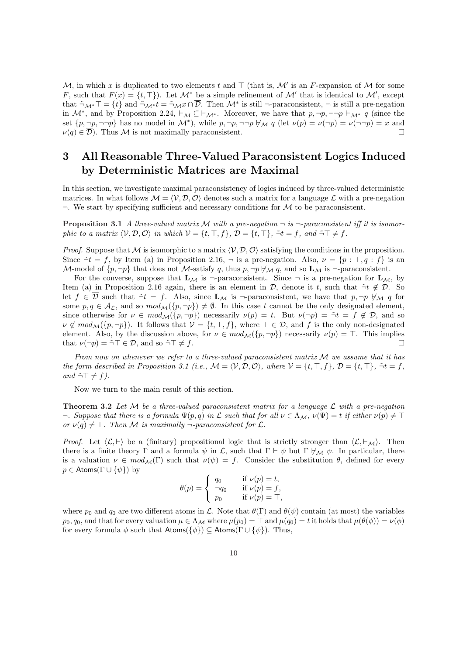M, in which x is duplicated to two elements t and  $\top$  (that is, M' is an F-expansion of M for some F, such that  $F(x) = \{t, \top\}$ . Let  $\mathcal{M}^*$  be a simple refinement of  $\mathcal{M}'$  that is identical to  $\mathcal{M}'$ , except that  $\tilde{\neg}_{\mathcal{M}^*}\top = \{t\}$  and  $\tilde{\neg}_{\mathcal{M}^*}t = \tilde{\neg}_{\mathcal{M}^*}\cap \overline{\mathcal{D}}$ . Then  $\mathcal{M}^*$  is still  $\neg$ -paraconsistent,  $\neg$  is still a pre-negation in  $\mathcal{M}^*$ , and by Proposition 2.24,  $\vdash_{\mathcal{M}} \subseteq \vdash_{\mathcal{M}^*}$ . Moreover, we have that  $p, \neg p, \neg \neg p \vdash_{\mathcal{M}^*} q$  (since the set  $\{p, \neg p, \neg \neg p\}$  has no model in  $\mathcal{M}^*$ , while  $p, \neg p, \neg \neg p \not\vdash_{\mathcal{M}} q$  (let  $\nu(p) = \nu(\neg p) = \nu(\neg \neg p) = x$  and  $\nu(q) \in \overline{\mathcal{D}}$ . Thus M is not maximally paraconsistent.

# 3 All Reasonable Three-Valued Paraconsistent Logics Induced by Deterministic Matrices are Maximal

In this section, we investigate maximal paraconsistency of logics induced by three-valued deterministic matrices. In what follows  $\mathcal{M} = \langle \mathcal{V}, \mathcal{D}, \mathcal{O} \rangle$  denotes such a matrix for a language  $\mathcal{L}$  with a pre-negation  $\neg$ . We start by specifying sufficient and necessary conditions for  $\mathcal M$  to be paraconsistent.

**Proposition 3.1** A three-valued matrix M with a pre-negation  $\neg$  is  $\neg$ -paraconsistent iff it is isomorphic to a matrix  $\langle V, \mathcal{D}, \mathcal{O} \rangle$  in which  $V = \{t, \top, f\}$ ,  $\mathcal{D} = \{t, \top\}$ ,  $\tilde{\neg}t = f$ , and  $\tilde{\neg} \top \neq f$ .

*Proof.* Suppose that M is isomorphic to a matrix  $\langle V, D, O \rangle$  satisfying the conditions in the proposition. Since  $\tilde{\neg}t = f$ , by Item (a) in Proposition 2.16,  $\neg$  is a pre-negation. Also,  $\nu = \{p : \top, q : f\}$  is an M-model of  $\{p, \neg p\}$  that does not M-satisfy q, thus  $p, \neg p \nleftrightarrow q$ , and so  $\mathbf{L}_{\mathcal{M}}$  is  $\neg$ -paraconsistent.

For the converse, suppose that  $L_M$  is  $\neg$ -paraconsistent. Since  $\neg$  is a pre-negation for  $L_M$ , by Item (a) in Proposition 2.16 again, there is an element in  $D$ , denote it t, such that  $\tilde{\neg}t \notin D$ . So let  $f \in \overline{\mathcal{D}}$  such that  $\tilde{\neg}t = f$ . Also, since  $\mathbf{L}_{\mathcal{M}}$  is  $\neg$ -paraconsistent, we have that  $p, \neg p \nleftrightarrow q$  for some  $p, q \in A_{\mathcal{L}}$ , and so  $mod_{\mathcal{M}}(\{p, \neg p\}) \neq \emptyset$ . In this case t cannot be the only designated element, since otherwise for  $\nu \in mod_{\mathcal{M}}(\{p, \neg p\})$  necessarily  $\nu(p) = t$ . But  $\nu(\neg p) = \tilde{\neg}t = f \notin \mathcal{D}$ , and so  $\nu \notin \mathit{mod}_{\mathcal{M}}(\{p, \neg p\})$ . It follows that  $\mathcal{V} = \{t, \top, f\}$ , where  $\top \in \mathcal{D}$ , and f is the only non-designated element. Also, by the discussion above, for  $\nu \in mod_{\mathcal{M}}(\{p, \neg p\})$  necessarily  $\nu(p) = \top$ . This implies that  $\nu(\neg p) = \tilde{\neg} \top \in \mathcal{D}$ , and so  $\tilde{\neg} \top \neq f$ .

From now on whenever we refer to a three-valued paraconsistent matrix M we assume that it has the form described in Proposition 3.1 (i.e.,  $\mathcal{M} = \langle \mathcal{V}, \mathcal{D}, \mathcal{O} \rangle$ , where  $\mathcal{V} = \{t, \top, f\}$ ,  $\mathcal{D} = \{t, \top\}$ ,  $\tilde{\neg}t = f$ , and  $\tilde{\neg} \top \neq f$ ).

Now we turn to the main result of this section.

**Theorem 3.2** Let M be a three-valued paraconsistent matrix for a language  $\mathcal{L}$  with a pre-negation  $\neg$ . Suppose that there is a formula  $\Psi(p,q)$  in  $\mathcal L$  such that for all  $\nu \in \Lambda_{\mathcal M}$ ,  $\nu(\Psi) = t$  if either  $\nu(p) \neq \top$ or  $\nu(q) \neq \top$ . Then M is maximally  $\neg$ -paraconsistent for  $\mathcal{L}$ .

*Proof.* Let  $\langle \mathcal{L}, \vdash \rangle$  be a (finitary) propositional logic that is strictly stronger than  $\langle \mathcal{L}, \vdash \mathcal{M} \rangle$ . Then there is a finite theory Γ and a formula  $\psi$  in  $\mathcal{L}$ , such that  $\Gamma \vdash \psi$  but  $\Gamma \not\models_{\mathcal{M}} \psi$ . In particular, there is a valuation  $\nu \in mod_{\mathcal{M}}(\Gamma)$  such that  $\nu(\psi) = f$ . Consider the substitution  $\theta$ , defined for every  $p \in$  Atoms( $\Gamma \cup \{\psi\}$ ) by  $\overline{a}$ 

$$
\theta(p) = \begin{cases} q_0 & \text{if } \nu(p) = t, \\ \neg q_0 & \text{if } \nu(p) = f, \\ p_0 & \text{if } \nu(p) = \top, \end{cases}
$$

where  $p_0$  and  $q_0$  are two different atoms in  $\mathcal L$ . Note that  $\theta(\Gamma)$  and  $\theta(\psi)$  contain (at most) the variables  $p_0, q_0$ , and that for every valuation  $\mu \in \Lambda_{\mathcal{M}}$  where  $\mu(p_0) = \top$  and  $\mu(q_0) = t$  it holds that  $\mu(\theta(\phi)) = \nu(\phi)$ for every formula  $\phi$  such that  $\mathsf{Atoms}(\{\phi\}) \subseteq \mathsf{Atoms}(\Gamma \cup \{\psi\})$ . Thus,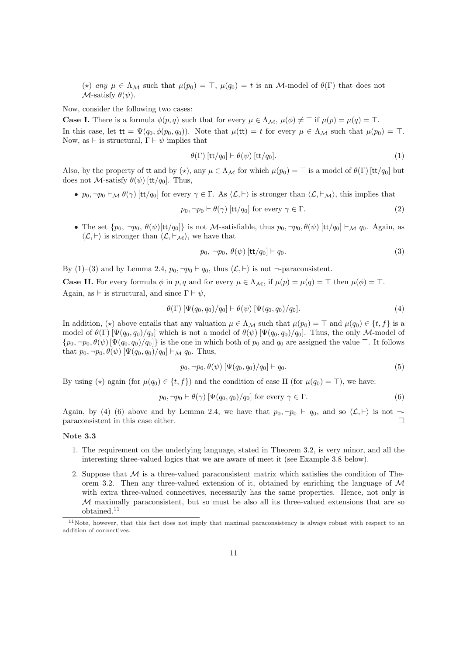(\*) any  $\mu \in \Lambda_{\mathcal{M}}$  such that  $\mu(p_0) = \top$ ,  $\mu(q_0) = t$  is an M-model of  $\theta(\Gamma)$  that does not  $\mathcal{M}$ -satisfy  $\theta(\psi)$ .

Now, consider the following two cases:

**Case I.** There is a formula  $\phi(p,q)$  such that for every  $\mu \in \Lambda_{\mathcal{M}}, \mu(\phi) \neq \top$  if  $\mu(p) = \mu(q) = \top$ . In this case, let  $tt = \Psi(q_0, \phi(p_0, q_0))$ . Note that  $\mu(\mathsf{tt}) = t$  for every  $\mu \in \Lambda_{\mathcal{M}}$  such that  $\mu(p_0) = \top$ . Now, as  $\vdash$  is structural,  $\Gamma \vdash \psi$  implies that

$$
\theta(\Gamma) \left[ \frac{\text{tt}}{q_0} \right] \vdash \theta(\psi) \left[ \frac{\text{tt}}{q_0} \right]. \tag{1}
$$

Also, by the property of tt and by ( $\star$ ), any  $\mu \in \Lambda_{\mathcal{M}}$  for which  $\mu(p_0) = \top$  is a model of  $\theta(\Gamma)$  [tt/q<sub>0</sub>] but does not *M*-satisfy  $\theta(\psi)$  [tt/q<sub>0</sub>]. Thus,

•  $p_0, \neg p_0 \vdash_{\mathcal{M}} \theta(\gamma)$  [tt/q<sub>0</sub>] for every  $\gamma \in \Gamma$ . As  $\langle \mathcal{L}, \vdash \rangle$  is stronger than  $\langle \mathcal{L}, \vdash_{\mathcal{M}} \rangle$ , this implies that

 $p_0, \neg p_0 \vdash \theta(\gamma)$  [tt/q<sub>0</sub>] for every  $\gamma \in \Gamma$ . (2)

• The set  $\{p_0, \neg p_0, \theta(\psi)[\text{tt}/q_0]\}$  is not M-satisfiable, thus  $p_0, \neg p_0, \theta(\psi)[\text{tt}/q_0] \vdash_M q_0$ . Again, as  $\langle \mathcal{L}, \vdash \rangle$  is stronger than  $\langle \mathcal{L}, \vdash_{\mathcal{M}} \rangle$ , we have that

$$
p_0, \neg p_0, \theta(\psi) \left[ \frac{\text{tt}}{q_0} \right] \vdash q_0. \tag{3}
$$

By (1)–(3) and by Lemma 2.4,  $p_0, \neg p_0 \vdash q_0$ , thus  $\langle \mathcal{L}, \vdash \rangle$  is not  $\neg$ -paraconsistent.

**Case II.** For every formula  $\phi$  in p, q and for every  $\mu \in \Lambda_{\mathcal{M}}$ , if  $\mu(p) = \mu(q) = \top$  then  $\mu(\phi) = \top$ . Again, as  $\vdash$  is structural, and since  $\Gamma \vdash \psi$ ,

$$
\theta(\Gamma) [\Psi(q_0, q_0)/q_0] \vdash \theta(\psi) [\Psi(q_0, q_0)/q_0]. \tag{4}
$$

In addition, ( $\star$ ) above entails that any valuation  $\mu \in \Lambda_{\mathcal{M}}$  such that  $\mu(p_0) = \top$  and  $\mu(q_0) \in \{t, f\}$  is a model of  $\theta(\Gamma) [\Psi(q_0, q_0)/q_0]$  which is not a model of  $\theta(\psi) [\Psi(q_0, q_0)/q_0]$ . Thus, the only M-model of  $\{p_0, \neg p_0, \theta(\psi) \left[\Psi(q_0, q_0)/q_0\right]\}$  is the one in which both of  $p_0$  and  $q_0$  are assigned the value  $\top$ . It follows that  $p_0, \neg p_0, \theta(\psi) \left[ \Psi(q_0, q_0) / q_0 \right] \vdash_{\mathcal{M}} q_0$ . Thus,

$$
p_0, \neg p_0, \theta(\psi) \left[ \Psi(q_0, q_0) / q_0 \right] \vdash q_0. \tag{5}
$$

By using  $(\star)$  again (for  $\mu(q_0) \in \{t, f\}$ ) and the condition of case II (for  $\mu(q_0) = \top$ ), we have:

$$
p_0, \neg p_0 \vdash \theta(\gamma) \left[ \Psi(q_0, q_0) / q_0 \right] \text{ for every } \gamma \in \Gamma.
$$
 (6)

Again, by (4)–(6) above and by Lemma 2.4, we have that  $p_0, \neg p_0 \vdash q_0$ , and so  $\langle \mathcal{L}, \vdash \rangle$  is not  $\neg$ paraconsistent in this case either.  $\Box$ 

#### Note 3.3

- 1. The requirement on the underlying language, stated in Theorem 3.2, is very minor, and all the interesting three-valued logics that we are aware of meet it (see Example 3.8 below).
- 2. Suppose that  $M$  is a three-valued paraconsistent matrix which satisfies the condition of Theorem 3.2. Then any three-valued extension of it, obtained by enriching the language of  $\mathcal M$ with extra three-valued connectives, necessarily has the same properties. Hence, not only is M maximally paraconsistent, but so must be also all its three-valued extensions that are so obtained.<sup>11</sup>

 $11$ Note, however, that this fact does not imply that maximal paraconsistency is always robust with respect to an addition of connectives.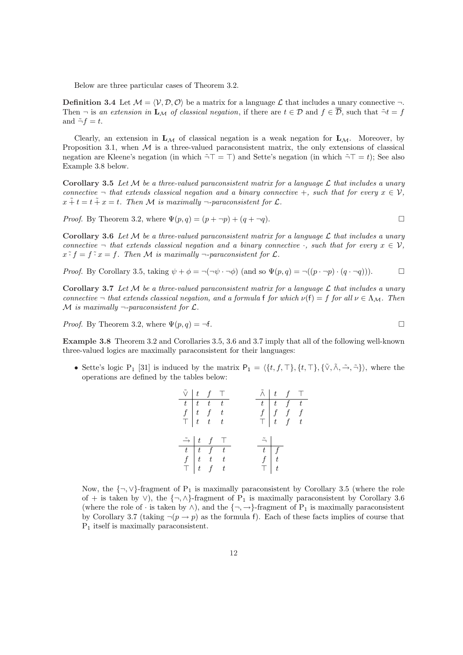Below are three particular cases of Theorem 3.2.

**Definition 3.4** Let  $M = \langle V, \mathcal{D}, \mathcal{O} \rangle$  be a matrix for a language L that includes a unary connective  $\neg$ . Then  $\neg$  is an extension in  $\mathbf{L}_{\mathcal{M}}$  of classical negation, if there are  $t \in \mathcal{D}$  and  $f \in \overline{\mathcal{D}}$ , such that  $\tilde{\neg}t = f$ and  $\tilde{\neg} f = t$ .

Clearly, an extension in  $L_M$  of classical negation is a weak negation for  $L_M$ . Moreover, by Proposition 3.1, when  $M$  is a three-valued paraconsistent matrix, the only extensions of classical negation are Kleene's negation (in which  $\tilde{\neg}T = \top$ ) and Sette's negation (in which  $\tilde{\neg}T = t$ ); See also Example 3.8 below.

Corollary 3.5 Let M be a three-valued paraconsistent matrix for a language  $\mathcal L$  that includes a unary connective  $\neg$  that extends classical negation and a binary connective  $+$ , such that for every  $x \in V$ ,  $x + t = t + x = t$ . Then M is maximally  $\neg$ -paraconsistent for  $\mathcal{L}$ .

*Proof.* By Theorem 3.2, where  $\Psi(p,q) = (p + \neg p) + (q + \neg q)$ .

Corollary 3.6 Let  $M$  be a three-valued paraconsistent matrix for a language  $\mathcal L$  that includes a unary connective  $\neg$  that extends classical negation and a binary connective  $\cdot$ , such that for every  $x \in \mathcal{V}$ ,  $x \tilde{\cdot} f = f \tilde{\cdot} x = f$ . Then M is maximally  $\neg$ -paraconsistent for  $\mathcal{L}$ .

*Proof.* By Corollary 3.5, taking 
$$
\psi + \phi = \neg(\neg \psi \cdot \neg \phi)
$$
 (and so  $\Psi(p,q) = \neg((p \cdot \neg p) \cdot (q \cdot \neg q)))$ .

Corollary 3.7 Let M be a three-valued paraconsistent matrix for a language  $\mathcal L$  that includes a unary connective  $\neg$  that extends classical negation, and a formula f for which  $\nu(f) = f$  for all  $\nu \in \Lambda_M$ . Then  $\mathcal M$  is maximally  $\neg$ -paraconsistent for  $\mathcal L$ .

*Proof.* By Theorem 3.2, where  $\Psi(p,q) = \neg f$ .

Example 3.8 Theorem 3.2 and Corollaries 3.5, 3.6 and 3.7 imply that all of the following well-known three-valued logics are maximally paraconsistent for their languages:

• Sette's logic P<sub>1</sub> [31] is induced by the matrix  $P_1 = \langle \{t, f, \top \}, \{t, \top \}, \{\tilde{\vee}, \tilde{\wedge}, \tilde{\rightarrow}, \tilde{\neg} \}\rangle$ , where the operations are defined by the tables below:

|  | $\tilde{\vee}$   t f $\top$                                                                |                                                                                                    |  | $\begin{array}{c cc} \tilde{\land} & t & f & \top \\ \hline t & t & f & t \\ f & f & f & f \\ \top & t & f & t \end{array}$ |  |
|--|--------------------------------------------------------------------------------------------|----------------------------------------------------------------------------------------------------|--|-----------------------------------------------------------------------------------------------------------------------------|--|
|  |                                                                                            |                                                                                                    |  |                                                                                                                             |  |
|  |                                                                                            |                                                                                                    |  |                                                                                                                             |  |
|  | $\begin{array}{ c cccc }\hline t&t&t&t\\ f&t&f&t\\ \hline \top&t&t&t\\ \hline \end{array}$ |                                                                                                    |  |                                                                                                                             |  |
|  |                                                                                            |                                                                                                    |  |                                                                                                                             |  |
|  |                                                                                            |                                                                                                    |  |                                                                                                                             |  |
|  | $\tilde{\rightarrow}$ $\begin{array}{cc} t & f \end{array}$ T                              |                                                                                                    |  |                                                                                                                             |  |
|  |                                                                                            |                                                                                                    |  | $\tilde{\lnot}$                                                                                                             |  |
|  |                                                                                            | $\begin{array}{c cc} \hline t & t & f & t \\ f & t & t & t \\ \hline \top & t & f & t \end{array}$ |  | $\begin{array}{c c}\n\hline t & f \\ f & t \\ \hline\n\end{array}$                                                          |  |

Now, the  ${\neg, \lor}$ -fragment of P<sub>1</sub> is maximally paraconsistent by Corollary 3.5 (where the role of + is taken by  $\vee$ ), the  $\{\neg, \wedge\}$ -fragment of P<sub>1</sub> is maximally paraconsistent by Corollary 3.6 (where the role of · is taken by  $\wedge$ ), and the  $\{\neg, \rightarrow\}$ -fragment of P<sub>1</sub> is maximally paraconsistent by Corollary 3.7 (taking  $\neg (p \rightarrow p)$ ) as the formula f). Each of these facts implies of course that P<sup>1</sup> itself is maximally paraconsistent.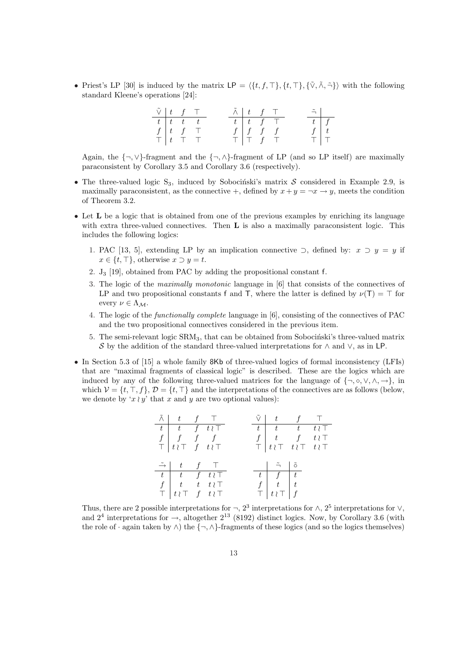• Priest's LP [30] is induced by the matrix  $\mathsf{LP} = \langle \{t, f, \top\}, \{t, \top\}, \{\tilde{\vee}, \tilde{\wedge}, \tilde{\neg}\}\rangle$  with the following standard Kleene's operations [24]:

| $\tilde{\vee}$   t f $\top$ |                             |                     |  | $\tilde{\wedge}$ $\begin{array}{ccc} t & f & \top \end{array}$ |  | $\tilde{\neg}$ |  |
|-----------------------------|-----------------------------|---------------------|--|----------------------------------------------------------------|--|----------------|--|
|                             |                             | $t \mid t-t \mid t$ |  | $t$   $t$   $f$   $\top$                                       |  | $t \mid f$     |  |
|                             | $f \mid t \mid f \mid \top$ |                     |  | $\begin{array}{c cc} f & f & f \\ \hline \end{array}$          |  |                |  |
|                             |                             | $T$ $t$ $T$ $T$     |  | $T$   T $f$ T                                                  |  |                |  |

Again, the  $\{\neg, \vee\}$ -fragment and the  $\{\neg, \wedge\}$ -fragment of LP (and so LP itself) are maximally paraconsistent by Corollary 3.5 and Corollary 3.6 (respectively).

- The three-valued logic  $S_3$ , induced by Sobocinski's matrix S considered in Example 2.9, is maximally paraconsistent, as the connective +, defined by  $x + y = \neg x \rightarrow y$ , meets the condition of Theorem 3.2.
- Let L be a logic that is obtained from one of the previous examples by enriching its language with extra three-valued connectives. Then **L** is also a maximally paraconsistent logic. This includes the following logics:
	- 1. PAC [13, 5], extending LP by an implication connective  $\supset$ , defined by:  $x \supset y = y$  if  $x \in \{t, \top\},\$ otherwise  $x \supset y = t.$
	- 2. J<sup>3</sup> [19], obtained from PAC by adding the propositional constant f.
	- 3. The logic of the maximally monotonic language in [6] that consists of the connectives of LP and two propositional constants f and T, where the latter is defined by  $\nu(T) = \top$  for every  $\nu \in \Lambda_{\mathcal{M}}$ .
	- 4. The logic of the functionally complete language in [6], consisting of the connectives of PAC and the two propositional connectives considered in the previous item.
	- 5. The semi-relevant logic  $\text{SRM}_3$ , that can be obtained from Sobocinski's three-valued matrix S by the addition of the standard three-valued interpretations for  $\land$  and  $\lor$ , as in LP.
- In Section 5.3 of [15] a whole family 8Kb of three-valued logics of formal inconsistency (LFIs) that are "maximal fragments of classical logic" is described. These are the logics which are induced by any of the following three-valued matrices for the language of  $\{\neg, \circ, \vee, \wedge, \rightarrow\}$ , in which  $\mathcal{V} = \{t, \top, f\}, \mathcal{D} = \{t, \top\}$  and the interpretations of the connectives are as follows (below, we denote by 'x  $y'$ ' that x and y are two optional values):

| $\tilde{\wedge}$ $\begin{array}{ccc} & t & f & \end{array}$                     |                                                                                                                                                 |  |                                                                                               | t $f$ $\top$ |  |
|---------------------------------------------------------------------------------|-------------------------------------------------------------------------------------------------------------------------------------------------|--|-----------------------------------------------------------------------------------------------|--------------|--|
| $t$   $t$ $f$ $t \wr \top$                                                      |                                                                                                                                                 |  | $t$ $t$ $t$ $t$ $t$                                                                           |              |  |
|                                                                                 |                                                                                                                                                 |  |                                                                                               |              |  |
| $\begin{array}{c cc}\nf & f & f \\ \top & t\wr \top & f & t\wr \top\end{array}$ |                                                                                                                                                 |  | $\begin{array}{c cc}\nf & t & f & t \in T \\ \top & t \in T & t \in T & t \in T\n\end{array}$ |              |  |
|                                                                                 |                                                                                                                                                 |  |                                                                                               |              |  |
| $\tilde{\rightarrow}$ $t$ f T                                                   |                                                                                                                                                 |  | $\tilde{\neg}$                                                                                |              |  |
|                                                                                 | $\begin{array}{ c c c c c }\hline t & t & f & t \wr \top \\ f & t & t & t \wr \top \\ \top & t \wr \top & f & t \wr \top \\ \hline \end{array}$ |  | $t \mid f \mid t$                                                                             |              |  |
|                                                                                 |                                                                                                                                                 |  | $\begin{array}{c c c} f & t & t \\ \hline \top & t \wr \top & f \end{array}$                  |              |  |
|                                                                                 |                                                                                                                                                 |  |                                                                                               |              |  |

Thus, there are 2 possible interpretations for  $\neg$ , 2<sup>3</sup> interpretations for  $\wedge$ , 2<sup>5</sup> interpretations for  $\vee$ , and  $2^4$  interpretations for  $\rightarrow$ , altogether  $2^{13}$  (8192) distinct logics. Now, by Corollary 3.6 (with the role of · again taken by  $\wedge$ ) the  $\{\neg, \wedge\}$ -fragments of these logics (and so the logics themselves)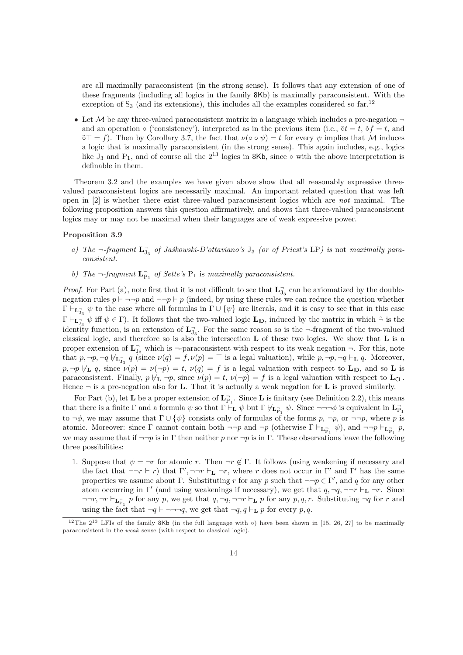are all maximally paraconsistent (in the strong sense). It follows that any extension of one of these fragments (including all logics in the family 8Kb) is maximally paraconsistent. With the exception of  $S_3$  (and its extensions), this includes all the examples considered so far.<sup>12</sup>

• Let  $M$  be any three-valued paraconsistent matrix in a language which includes a pre-negation  $\neg$ and an operation ∘ ('consistency'), interpreted as in the previous item (i.e.,  $\tilde{\sigma}t = t$ ,  $\tilde{\sigma}f = t$ , and  $\tilde{\sigma} \top = f$ ). Then by Corollary 3.7, the fact that  $\nu(\circ \circ \psi) = t$  for every  $\psi$  implies that M induces a logic that is maximally paraconsistent (in the strong sense). This again includes, e.g., logics like  $J_3$  and  $P_1$ , and of course all the  $2^{13}$  logics in 8Kb, since  $\circ$  with the above interpretation is definable in them.

Theorem 3.2 and the examples we have given above show that all reasonably expressive threevalued paraconsistent logics are necessarily maximal. An important related question that was left open in  $[2]$  is whether there exist three-valued paraconsistent logics which are *not* maximal. The following proposition answers this question affirmatively, and shows that three-valued paraconsistent logics may or may not be maximal when their languages are of weak expressive power.

### Proposition 3.9

- a) The  $\neg$ -fragment  $\mathbf{L}_{J_3}^{\neg}$  of Jaskowski-D'ottaviano's  $J_3$  (or of Priest's LP) is not maximally paraconsistent.
- b) The  $\neg$ -fragment  $\mathbf{L}_{\mathrm{P}_1}^{\neg}$  of Sette's  $\mathrm{P}_1$  is maximally paraconsistent.

*Proof.* For Part (a), note first that it is not difficult to see that  $\mathbf{L}_{J_3}^-$  can be axiomatized by the doublenegation rules  $p \vdash \neg\neg p$  and  $\neg\neg p \vdash p$  (indeed, by using these rules we can reduce the question whether  $\Gamma \vdash_{\mathbf{L}^-_{J_3}} \psi$  to the case where all formulas in  $\Gamma \cup {\psi}$  are literals, and it is easy to see that in this case  $\Gamma \vdash_{\mathbf{L}^-_{J_3}} \psi$  iff  $\psi \in \Gamma$ ). It follows that the two-valued logic  $\mathbf{L}_{\mathsf{ID}}$ , induced by the matrix in which  $\tilde{\neg}$  is the identity function, is an extension of  $\mathbf{L}_{J_3}^-,$  For the same reason so is the  $\neg$ -fragment of the two-valued classical logic, and therefore so is also the intersection L of these two logics. We show that L is a proper extension of  $\mathbf{L}_{J_3}^{\dagger}$  which is  $\neg$ -paraconsistent with respect to its weak negation  $\neg$ . For this, note that  $p, \neg p, \neg q \nmid_{\mathbf{L}^-_{J_3}} q$  (since  $\nu(q) = f, \nu(p) = \top$  is a legal valuation), while  $p, \neg p, \neg q \vdash_{\mathbf{L}} q$ . Moreover,  $p, \neg p \nmid_L q$ , since  $\nu(p) = \nu(\neg p) = t$ ,  $\nu(q) = f$  is a legal valuation with respect to L<sub>ID</sub>, and so L is paraconsistent. Finally,  $p \nvDash_{\mathbf{L}} \neg p$ , since  $\nu(p) = t$ ,  $\nu(\neg p) = f$  is a legal valuation with respect to  $\mathbf{L}_{\mathsf{CL}}$ . Hence  $\neg$  is a pre-negation also for **L**. That it is actually a weak negation for **L** is proved similarly.

For Part (b), let **L** be a proper extension of  $\mathbf{L}_{P_1}$ . Since **L** is finitary (see Definition 2.2), this means that there is a finite  $\Gamma$  and a formula  $\psi$  so that  $\Gamma \vdash_{\mathbf{L}} \psi$  but  $\Gamma \not\models_{\mathbf{L}_{\mathbf{P}_1}^-} \psi$ . Since  $\neg \neg \neg \phi$  is equivalent in  $\mathbf{L}_{\mathbf{P}_1}^$ to  $\neg \phi$ , we may assume that  $\Gamma \cup {\psi}$  consists only of formulas of the forms p,  $\neg p$ , or  $\neg \neg p$ , where p is atomic. Moreover: since  $\Gamma$  cannot contain both  $\neg\neg p$  and  $\neg p$  (otherwise  $\Gamma \vdash_{\mathbf{L}^{-}_{\mathbf{P}_1}} \psi$ ), and  $\neg\neg p \vdash_{\mathbf{L}^{-}_{\mathbf{P}_1}} p$ , we may assume that if  $\neg\neg p$  is in Γ then neither p nor  $\neg p$  is in Γ. These observations leave the following three possibilities:

1. Suppose that  $\psi = \neg r$  for atomic r. Then  $\neg r \notin \Gamma$ . It follows (using weakening if necessary and the fact that  $\neg\neg r \vdash r$ ) that  $\Gamma', \neg\neg r \vdash_L \neg r$ , where r does not occur in  $\Gamma'$  and  $\Gamma'$  has the same properties we assume about Γ. Substituting r for any p such that  $\neg\neg p \in \Gamma'$ , and q for any other atom occurring in  $\Gamma'$  (and using weakenings if necessary), we get that  $q, \neg q, \neg \neg r \vdash_L \neg r$ . Since  $\neg\neg r, \neg r \vdash_{\mathbf{L}_{\mathbf{P}_1}^-} p$  for any p, we get that  $q, \neg q, \neg\neg r \vdash_{\mathbf{L}} p$  for any  $p, q, r$ . Substituting  $\neg q$  for r and using the fact that  $\neg q \vdash \neg \neg \neg q$ , we get that  $\neg q, q \vdash_L p$  for every p,q.

<sup>&</sup>lt;sup>12</sup>The  $2^{13}$  LFIs of the family 8Kb (in the full language with  $\circ$ ) have been shown in [15, 26, 27] to be maximally paraconsistent in the weak sense (with respect to classical logic).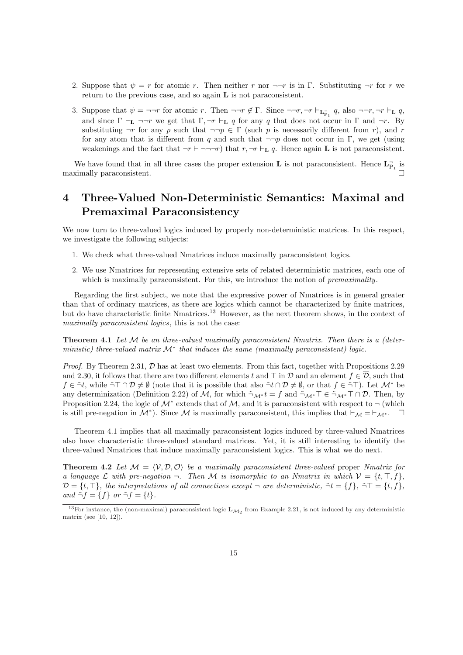- 2. Suppose that  $\psi = r$  for atomic r. Then neither r nor  $\neg\neg r$  is in Γ. Substituting  $\neg r$  for r we return to the previous case, and so again L is not paraconsistent.
- 3. Suppose that  $\psi = \neg \neg r$  for atomic r. Then  $\neg \neg r \notin \Gamma$ . Since  $\neg \neg r, \neg r \vdash_{\mathbf{L}_{P_1}^{\neg}} q$ , also  $\neg \neg r, \neg r \vdash_{\mathbf{L}} q$ , and since  $\Gamma \vdash_{\mathbf{L}} \neg\neg r$  we get that  $\Gamma, \neg r \vdash_{\mathbf{L}} q$  for any q that does not occur in  $\Gamma$  and  $\neg r$ . By substituting  $\neg r$  for any p such that  $\neg \neg p \in \Gamma$  (such p is necessarily different from r), and r for any atom that is different from q and such that  $\neg\neg p$  does not occur in Γ, we get (using weakenings and the fact that  $\neg r \vdash \neg \neg \neg r$ ) that  $r, \neg r \vdash_L q$ . Hence again **L** is not paraconsistent.

We have found that in all three cases the proper extension **L** is not paraconsistent. Hence  $\mathbf{L}_{\mathrm{P}_1}^-$  is maximally paraconsistent.  $\Box$ 

# 4 Three-Valued Non-Deterministic Semantics: Maximal and Premaximal Paraconsistency

We now turn to three-valued logics induced by properly non-deterministic matrices. In this respect, we investigate the following subjects:

- 1. We check what three-valued Nmatrices induce maximally paraconsistent logics.
- 2. We use Nmatrices for representing extensive sets of related deterministic matrices, each one of which is maximally paraconsistent. For this, we introduce the notion of *premaximality*.

Regarding the first subject, we note that the expressive power of Nmatrices is in general greater than that of ordinary matrices, as there are logics which cannot be characterized by finite matrices, but do have characteristic finite Nmatrices.<sup>13</sup> However, as the next theorem shows, in the context of maximally paraconsistent logics, this is not the case:

**Theorem 4.1** Let  $M$  be an three-valued maximally paraconsistent Nmatrix. Then there is a (deterministic) three-valued matrix  $\mathcal{M}^*$  that induces the same (maximally paraconsistent) logic.

*Proof.* By Theorem 2.31,  $D$  has at least two elements. From this fact, together with Propositions 2.29 and 2.30, it follows that there are two different elements t and  $\top$  in D and an element  $f \in \overline{\mathcal{D}}$ , such that  $f \in \tilde{\neg} t$ , while  $\tilde{\neg} \cap \mathcal{D} \neq \emptyset$  (note that it is possible that also  $\tilde{\neg} t \cap \mathcal{D} \neq \emptyset$ , or that  $f \in \tilde{\neg} \top$ ). Let  $\mathcal{M}^*$  be any determinization (Definition 2.22) of M, for which  $\tilde{\neg}_{M^*} t = f$  and  $\tilde{\neg}_{M^*} \top \in \tilde{\neg}_{M^*} \top \cap \mathcal{D}$ . Then, by Proposition 2.24, the logic of  $\mathcal{M}^*$  extends that of  $\mathcal{M}$ , and it is paraconsistent with respect to  $\neg$  (which is still pre-negation in  $\mathcal{M}^*$ ). Since  $\mathcal M$  is maximally paraconsistent, this implies that  $\vdash_{\mathcal{M}} = \vdash_{\mathcal{M}^*}$ .  $\Box$ 

Theorem 4.1 implies that all maximally paraconsistent logics induced by three-valued Nmatrices also have characteristic three-valued standard matrices. Yet, it is still interesting to identify the three-valued Nmatrices that induce maximally paraconsistent logics. This is what we do next.

**Theorem 4.2** Let  $M = \langle V, D, O \rangle$  be a maximally paraconsistent three-valued proper Nmatrix for a language  $\mathcal L$  with pre-negation  $\neg$ . Then  $\mathcal M$  is isomorphic to an Nmatrix in which  $\mathcal V = \{t, \top, f\}$ ,  $\mathcal{D} = \{t, \top\}$ , the interpretations of all connectives except  $\neg$  are deterministic,  $\tilde{\neg} t = \{f\}, \tilde{\neg} \top = \{t, f\}$ , and  $\tilde{\neg} f = \{f\}$  or  $\tilde{\neg} f = \{t\}.$ 

<sup>&</sup>lt;sup>13</sup>For instance, the (non-maximal) paraconsistent logic  $\mathbf{L}_{\mathcal{M}_2}$  from Example 2.21, is not induced by any deterministic matrix (see [10, 12]).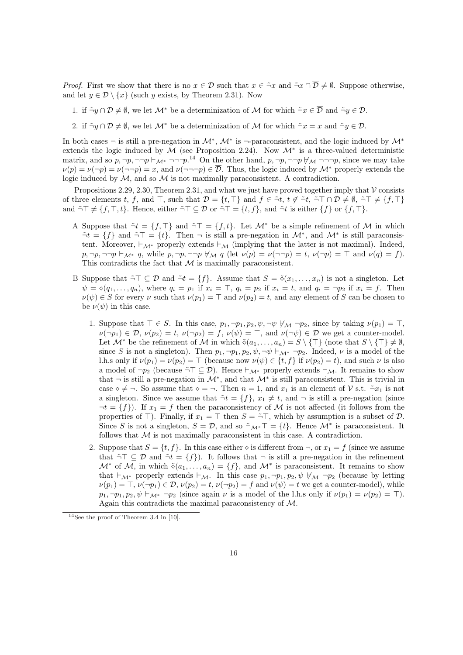*Proof.* First we show that there is no  $x \in \mathcal{D}$  such that  $x \in \tilde{\neg}x$  and  $\tilde{\neg}x \cap \overline{\mathcal{D}} \neq \emptyset$ . Suppose otherwise, and let  $y \in \mathcal{D} \setminus \{x\}$  (such y exists, by Theorem 2.31). Now

- 1. if  $\tilde{\neg} y \cap \mathcal{D} \neq \emptyset$ , we let  $\mathcal{M}^*$  be a determinization of  $\mathcal M$  for which  $\tilde{\neg} x \in \overline{\mathcal{D}}$  and  $\tilde{\neg} y \in \mathcal{D}$ .
- 2. if  $\tilde{\neg}y \cap \overline{\mathcal{D}} \neq \emptyset$ , we let  $\mathcal{M}^*$  be a determinization of M for which  $\tilde{\neg}x = x$  and  $\tilde{\neg}y \in \overline{\mathcal{D}}$ .

In both cases  $\neg$  is still a pre-negation in  $\mathcal{M}^*$ ,  $\mathcal{M}^*$  is  $\neg$ -paraconsistent, and the logic induced by  $\mathcal{M}^*$ extends the logic induced by  $\mathcal M$  (see Proposition 2.24). Now  $\mathcal M^*$  is a three-valued deterministic matrix, and so  $p, \neg p, \neg \neg p \vdash_{\mathcal{M}^*} \neg \neg \neg p$ .<sup>14</sup> On the other hand,  $p, \neg p, \neg \neg p \nleftrightarrow_{\mathcal{M}} \neg \neg \neg p$ , since we may take  $\nu(p) = \nu(\neg p) = \nu(\neg \neg p) = x$ , and  $\nu(\neg \neg \neg p) \in \overline{\mathcal{D}}$ . Thus, the logic induced by  $\mathcal{M}^*$  properly extends the logic induced by  $M$ , and so  $M$  is not maximally paraconsistent. A contradiction.

Propositions 2.29, 2.30, Theorem 2.31, and what we just have proved together imply that  $\mathcal V$  consists of three elements t, f, and  $\top$ , such that  $\mathcal{D} = \{t, \top\}$  and  $f \in \tilde{\neg}t$ ,  $t \notin \tilde{\neg}t$ ,  $\tilde{\neg} \top \cap \mathcal{D} \neq \emptyset$ ,  $\tilde{\neg} \top \neq \{f, \top\}$ and  $\tilde{\neg} \top \neq \{f, \top, t\}$ . Hence, either  $\tilde{\neg} \top \subseteq \mathcal{D}$  or  $\tilde{\neg} \top = \{t, f\}$ , and  $\tilde{\neg} t$  is either  $\{f\}$  or  $\{f, \top\}$ .

- A Suppose that  $\tilde{\neg} t = \{f, \top\}$  and  $\tilde{\neg} \top = \{f, t\}$ . Let  $\mathcal{M}^*$  be a simple refinement of  $\mathcal M$  in which  $\tilde{\neg}t = \{f\}$  and  $\tilde{\neg}T = \{t\}$ . Then  $\neg$  is still a pre-negation in  $\mathcal{M}^*$ , and  $\mathcal{M}^*$  is still paraconsistent. Moreover,  $\vdash_{\mathcal{M}^*}$  properly extends  $\vdash_{\mathcal{M}}$  (implying that the latter is not maximal). Indeed,  $p, \neg p, \neg \neg p \vdash_{\mathcal{M}^*} q$ , while  $p, \neg p, \neg \neg p \not\vdash_{\mathcal{M}} q$  (let  $\nu(p) = \nu(\neg \neg p) = t$ ,  $\nu(\neg p) = \top$  and  $\nu(q) = f$ ). This contradicts the fact that  $M$  is maximally paraconsistent.
- B Suppose that  $\tilde{\neg} \top \subseteq \mathcal{D}$  and  $\tilde{\neg} t = \{f\}$ . Assume that  $S = \tilde{\diamond}(x_1, \ldots, x_n)$  is not a singleton. Let  $\psi = \diamond (q_1, \ldots, q_n)$ , where  $q_i = p_1$  if  $x_i = \top$ ,  $q_i = p_2$  if  $x_i = t$ , and  $q_i = \top p_2$  if  $x_i = f$ . Then  $\nu(\psi) \in S$  for every  $\nu$  such that  $\nu(p_1) = \top$  and  $\nu(p_2) = t$ , and any element of S can be chosen to be  $\nu(\psi)$  in this case.
	- 1. Suppose that  $\top \in S$ . In this case,  $p_1, \neg p_1, p_2, \psi, \neg \psi \nleftrightarrow_M \neg p_2$ , since by taking  $\nu(p_1) = \top$ ,  $\nu(\neg p_1) \in \mathcal{D}, \nu(p_2) = t, \nu(\neg p_2) = f, \nu(\psi) = \top$ , and  $\nu(\neg \psi) \in \mathcal{D}$  we get a counter-model. Let  $\mathcal{M}^*$  be the refinement of  $\mathcal M$  in which  $\delta(a_1, \ldots, a_n) = S \setminus \{\top\}$  (note that  $S \setminus \{\top\} \neq \emptyset$ , since S is not a singleton). Then  $p_1, \neg p_1, p_2, \psi, \neg \psi \vdash_{\mathcal{M}^*} \neg p_2$ . Indeed,  $\nu$  is a model of the l.h.s only if  $\nu(p_1) = \nu(p_2) = \top$  (because now  $\nu(\psi) \in \{t, f\}$  if  $\nu(p_2) = t$ ), and such  $\nu$  is also a model of  $\neg p_2$  (because  $\tilde{\neg} \top \subseteq \mathcal{D}$ ). Hence  $\vdash_{\mathcal{M}^*}$  properly extends  $\vdash_{\mathcal{M}}$ . It remains to show that  $\neg$  is still a pre-negation in  $\mathcal{M}^*$ , and that  $\mathcal{M}^*$  is still paraconsistent. This is trivial in case  $\diamond \neq \neg$ . So assume that  $\diamond = \neg$ . Then  $n = 1$ , and  $x_1$  is an element of  $V$  s.t.  $\tilde{\neg}x_1$  is not a singleton. Since we assume that  $\tilde{\neg} t = \{f\}, x_1 \neq t$ , and  $\neg$  is still a pre-negation (since  $\neg t = \{f\}$ ). If  $x_1 = f$  then the paraconsistency of M is not affected (it follows from the properties of  $\top$ ). Finally, if  $x_1 = \top$  then  $S = \tilde{\neg} \top$ , which by assumption is a subset of  $\mathcal{D}$ . Since S is not a singleton,  $S = \mathcal{D}$ , and so  $\tilde{\neg}_{\mathcal{M}^*} \top = \{t\}$ . Hence  $\mathcal{M}^*$  is paraconsistent. It follows that  $M$  is not maximally paraconsistent in this case. A contradiction.
	- 2. Suppose that  $S = \{t, f\}$ . In this case either  $\diamond$  is different from  $\neg$ , or  $x_1 = f$  (since we assume that  $\tilde{\neg} \top \subseteq \mathcal{D}$  and  $\tilde{\neg} t = \{f\}$ . It follows that  $\neg$  is still a pre-negation in the refinement  $\mathcal{M}^*$  of  $\mathcal{M}$ , in which  $\tilde{\diamond}(a_1, \ldots, a_n) = \{f\}$ , and  $\mathcal{M}^*$  is paraconsistent. It remains to show that  $\vdash_{\mathcal{M}^*}$  properly extends  $\vdash_{\mathcal{M}}$ . In this case  $p_1, \neg p_1, p_2, \psi \not\vdash_{\mathcal{M}} \neg p_2$  (because by letting  $\nu(p_1) = \top, \nu(\neg p_1) \in \mathcal{D}, \nu(p_2) = t, \nu(\neg p_2) = f$  and  $\nu(\psi) = t$  we get a counter-model), while  $p_1, \neg p_1, p_2, \psi \vdash_{\mathcal{M}^*} \neg p_2$  (since again  $\nu$  is a model of the l.h.s only if  $\nu(p_1) = \nu(p_2) = \top$ ). Again this contradicts the maximal paraconsistency of M.

 $14$ See the proof of Theorem 3.4 in [10].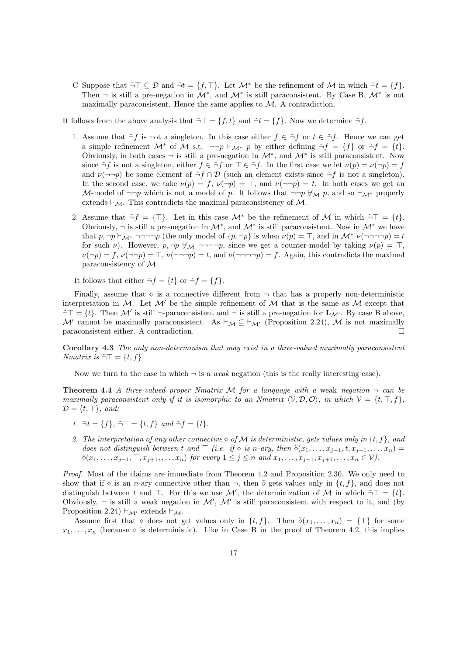C Suppose that  $\tilde{\neg} \top \subseteq \mathcal{D}$  and  $\tilde{\neg} t = \{f, \top\}$ . Let  $\mathcal{M}^*$  be the refinement of  $\mathcal{M}$  in which  $\tilde{\neg} t = \{f\}$ . Then  $\neg$  is still a pre-negation in  $\mathcal{M}^*$ , and  $\mathcal{M}^*$  is still paraconsistent. By Case B,  $\mathcal{M}^*$  is not maximally paraconsistent. Hence the same applies to  $M$ . A contradiction.

It follows from the above analysis that  $\tilde{\neg}T = \{f, t\}$  and  $\tilde{\neg}t = \{f\}$ . Now we determine  $\tilde{\neg}f$ .

- 1. Assume that  $\tilde{\neg} f$  is not a singleton. In this case either  $f \in \tilde{\neg} f$  or  $t \in \tilde{\neg} f$ . Hence we can get a simple refinement  $\mathcal{M}^*$  of  $\mathcal M$  s.t.  $\neg\neg p \vdash_{\mathcal{M}^*} p$  by either defining  $\tilde{\neg} f = \{f\}$  or  $\tilde{\neg} f = \{t\}.$ Obviously, in both cases  $\neg$  is still a pre-negation in  $\mathcal{M}^*$ , and  $\mathcal{M}^*$  is still paraconsistent. Now since  $\tilde{\neg} f$  is not a singleton, either  $f \in \tilde{\neg} f$  or  $\top \in \tilde{\neg} f$ . In the first case we let  $\nu(p) = \nu(\neg p) = f$ and  $\nu(\neg\neg p)$  be some element of  $\tilde{\neg} f \cap \mathcal{D}$  (such an element exists since  $\tilde{\neg} f$  is not a singleton). In the second case, we take  $\nu(p) = f$ ,  $\nu(\neg p) = \top$ , and  $\nu(\neg \neg p) = t$ . In both cases we get an M-model of  $\neg\neg p$  which is not a model of p. It follows that  $\neg\neg p \nleftrightarrow_M p$ , and so  $\vdash_{\mathcal{M}^*}$  properly extends  $\vdash_{\mathcal{M}}$ . This contradicts the maximal paraconsistency of M.
- 2. Assume that  $\tilde{\neg} f = {\top}$ . Let in this case  $\mathcal{M}^*$  be the refinement of M in which  $\tilde{\neg} T = \{t\}.$ Obviously,  $\neg$  is still a pre-negation in  $\mathcal{M}^*$ , and  $\mathcal{M}^*$  is still paraconsistent. Now in  $\mathcal{M}^*$  we have that  $p, \neg p \vdash_{\mathcal{M}^*} \neg \neg \neg \neg p$  (the only model of  $\{p, \neg p\}$  is when  $\nu(p) = \top$ , and in  $\mathcal{M}^*$   $\nu(\neg \neg \neg \neg p) = t$ for such  $\nu$ ). However,  $p, \neg p \nleftrightarrow_{\mathcal{M}} \neg \neg \neg p$ , since we get a counter-model by taking  $\nu(p) = \top$ ,  $\nu(\neg p) = f, \nu(\neg \neg p) = \top, \nu(\neg \neg \neg p) = t$ , and  $\nu(\neg \neg \neg p) = f$ . Again, this contradicts the maximal paraconsistency of M.

It follows that either  $\tilde{\neg} f = \{t\}$  or  $\tilde{\neg} f = \{f\}.$ 

Finally, assume that  $\Diamond$  is a connective different from  $\neg$  that has a properly non-deterministic interpretation in M. Let  $\mathcal{M}'$  be the simple refinement of M that is the same as M except that  $\tilde{\neg} \top = \{t\}.$  Then M' is still  $\neg$ -paraconsistent and  $\neg$  is still a pre-negation for  $\mathbf{L}_{\mathcal{M}'}$ . By case B above, M' cannot be maximally paraconsistent. As  $\vdash_{\mathcal{M}} \subseteq \vdash_{\mathcal{M}'}$  (Proposition 2.24), M is not maximally paraconsistent either. A contradiction.  $\Box$ 

Corollary 4.3 The only non-determinism that may exist in a three-valued maximally paraconsistent Nmatrix is  $\tilde{\neg} \top = \{t, f\}.$ 

Now we turn to the case in which  $\neg$  is a *weak* negation (this is the really interesting case).

**Theorem 4.4** A three-valued proper Nmatrix M for a language with a weak negation  $\neg$  can be maximally paraconsistent only if it is isomorphic to an Nmatrix  $\langle V, \mathcal{D}, \mathcal{O} \rangle$ , in which  $V = \{t, \top, f\}$ ,  $\mathcal{D} = \{t, \top\}, \text{ and:}$ 

- 1.  $\tilde{\neg} t = \{f\}, \tilde{\neg} \top = \{t, f\} \text{ and } \tilde{\neg} f = \{t\}.$
- 2. The interpretation of any other connective  $\diamond$  of M is deterministic, gets values only in {t, f}, and does not distinguish between t and  $\top$  (i.e. if  $\diamond$  is n-ary, then  $\delta(x_1, \ldots, x_{j-1}, t, x_{j+1}, \ldots, x_n) =$  $\delta(x_1, \ldots, x_{j-1}, \top, x_{j+1}, \ldots, x_n)$  for every  $1 \leq j \leq n$  and  $x_1, \ldots, x_{j-1}, x_{j+1}, \ldots, x_n \in V$ ).

Proof. Most of the claims are immediate from Theorem 4.2 and Proposition 2.30. We only need to show that if  $\circ$  is an *n*-ary connective other than  $\neg$ , then  $\check{\circ}$  gets values only in  $\{t, f\}$ , and does not distinguish between t and  $\top$ . For this we use  $\mathcal{M}'$ , the determinization of  $\mathcal M$  in which  $\tilde{\neg} \top = \{t\}.$ Obviously,  $\neg$  is still a weak negation in  $\mathcal{M}'$ ,  $\mathcal{M}'$  is still paraconsistent with respect to it, and (by Proposition 2.24)  $\vdash_{\mathcal{M}'}$  extends  $\vdash_{\mathcal{M}}$ .

Assume first that  $\diamond$  does not get values only in  $\{t, f\}$ . Then  $\delta(x_1, \ldots, x_n) = {\top}$  for some  $x_1, \ldots, x_n$  (because  $\diamond$  is deterministic). Like in Case B in the proof of Theorem 4.2, this implies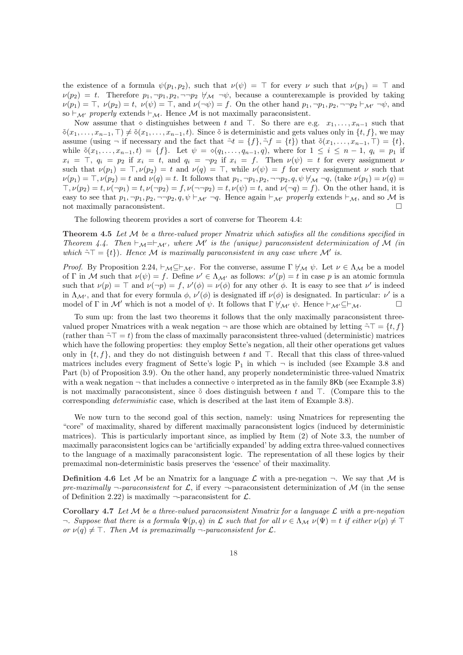the existence of a formula  $\psi(p_1, p_2)$ , such that  $\nu(\psi) = \top$  for every  $\nu$  such that  $\nu(p_1) = \top$  and  $\nu(p_2) = t$ . Therefore  $p_1, \neg p_1, p_2, \neg \neg p_2 \nleftrightarrow \neg \psi$ , because a counterexample is provided by taking  $\nu(p_1) = \top$ ,  $\nu(p_2) = t$ ,  $\nu(\psi) = \top$ , and  $\nu(\neg \psi) = f$ . On the other hand  $p_1, \neg p_1, p_2, \neg \neg p_2 \vdash_{\mathcal{M'}} \neg \psi$ , and so  $\vdash_{\mathcal{M}'}$  properly extends  $\vdash_{\mathcal{M}}$ . Hence  $\mathcal M$  is not maximally paraconsistent.

Now assume that  $\Diamond$  distinguishes between t and  $\top$ . So there are e.g.  $x_1, \ldots, x_{n-1}$  such that  $\delta(x_1, \ldots, x_{n-1}, \tau) \neq \delta(x_1, \ldots, x_{n-1}, t)$ . Since  $\delta$  is deterministic and gets values only in  $\{t, f\}$ , we may assume (using  $\neg$  if necessary and the fact that  $\tilde{\neg} t = \{f\}$ ,  $\tilde{\neg} f = \{t\}$ ) that  $\tilde{\diamond}(x_1, \ldots, x_{n-1}, \top) = \{t\}$ , while  $\tilde{\diamond}(x_1, \ldots, x_{n-1}, t) = \{f\}$ . Let  $\psi = \diamond(q_1, \ldots, q_{n-1}, q)$ , where for  $1 \leq i \leq n-1$ ,  $q_i = p_1$  if  $x_i = \top$ ,  $q_i = p_2$  if  $x_i = t$ , and  $q_i = \top p_2$  if  $x_i = f$ . Then  $\nu(\psi) = t$  for every assignment  $\nu$ such that  $\nu(p_1) = \top, \nu(p_2) = t$  and  $\nu(q) = \top$ , while  $\nu(\psi) = f$  for every assignment  $\nu$  such that  $\nu(p_1) = \top, \nu(p_2) = t$  and  $\nu(q) = t$ . It follows that  $p_1, \neg p_1, p_2, \neg \neg p_2, q, \psi \nleftrightarrow_{\mathcal{M}} \neg q$ , (take  $\nu(p_1) = \nu(q) = t$  $\top, \nu(p_2) = t, \nu(\neg p_1) = t, \nu(\neg p_2) = f, \nu(\neg \neg p_2) = t, \nu(\psi) = t$ , and  $\nu(\neg q) = f$ ). On the other hand, it is easy to see that  $p_1, \neg p_1, p_2, \neg \neg p_2, q, \psi \vdash_{\mathcal{M}'} \neg q$ . Hence again  $\vdash_{\mathcal{M}'}$  properly extends  $\vdash_{\mathcal{M}}$ , and so M is not maximally paraconsistent.  $\Box$ 

The following theorem provides a sort of converse for Theorem 4.4:

Theorem 4.5 Let M be a three-valued proper Nmatrix which satisfies all the conditions specified in Theorem 4.4. Then  $\vdash_{\mathcal{M}} = \vdash_{\mathcal{M}}$ , where M' is the (unique) paraconsistent determinization of M (in which  $\tilde{\neg}T = \{t\}$ . Hence M is maximally paraconsistent in any case where M' is.

*Proof.* By Proposition 2.24,  $\vdash_{\mathcal{M}} \subseteq \vdash_{\mathcal{M}'}$ . For the converse, assume  $\Gamma \not\vdash_{\mathcal{M}} \psi$ . Let  $\nu \in \Lambda_{\mathcal{M}}$  be a model of  $\Gamma$  in M such that  $\nu(\psi) = f$ . Define  $\nu' \in \Lambda_{\mathcal{M}'}$  as follows:  $\nu'(p) = t$  in case p is an atomic formula such that  $\nu(p) = \top$  and  $\nu(\neg p) = f$ ,  $\nu'(\phi) = \nu(\phi)$  for any other  $\phi$ . It is easy to see that  $\nu'$  is indeed in  $\Lambda_{\mathcal{M}}$ , and that for every formula  $\phi$ ,  $\nu'(\phi)$  is designated iff  $\nu(\phi)$  is designated. In particular:  $\nu'$  is a model of Γ in M' which is not a model of  $\psi$ . It follows that  $\Gamma \not\vdash_{\mathcal{M}'} \psi$ . Hence  $\vdash_{\mathcal{M}'} \subseteq \vdash_{\mathcal{M}}$ .

To sum up: from the last two theorems it follows that the only maximally paraconsistent threevalued proper Nmatrices with a weak negation  $\neg$  are those which are obtained by letting  $\tilde{\neg} T = \{t, f\}$ (rather than  $\tilde{\neg}T = t$ ) from the class of maximally paraconsistent three-valued (deterministic) matrices which have the following properties: they employ Sette's negation, all their other operations get values only in  $\{t, f\}$ , and they do not distinguish between t and  $\top$ . Recall that this class of three-valued matrices includes every fragment of Sette's logic  $P_1$  in which  $\neg$  is included (see Example 3.8 and Part (b) of Proposition 3.9). On the other hand, any properly nondeterministic three-valued Nmatrix with a weak negation  $\neg$  that includes a connective  $\circ$  interpreted as in the family 8Kb (see Example 3.8) is not maximally paraconsistent, since  $\delta$  does distinguish between t and  $\top$ . (Compare this to the corresponding deterministic case, which is described at the last item of Example 3.8).

We now turn to the second goal of this section, namely: using Nmatrices for representing the "core" of maximality, shared by different maximally paraconsistent logics (induced by deterministic matrices). This is particularly important since, as implied by Item (2) of Note 3.3, the number of maximally paraconsistent logics can be 'artificially expanded' by adding extra three-valued connectives to the language of a maximally paraconsistent logic. The representation of all these logics by their premaximal non-deterministic basis preserves the 'essence' of their maximality.

**Definition 4.6** Let M be an Nmatrix for a language  $\mathcal{L}$  with a pre-negation  $\neg$ . We say that M is pre-maximally  $\neg$ -paraconsistent for  $\mathcal{L}$ , if every  $\neg$ -paraconsistent determinization of M (in the sense of Definition 2.22) is maximally  $\neg$ -paraconsistent for  $\mathcal{L}$ .

Corollary 4.7 Let  $M$  be a three-valued paraconsistent Nmatrix for a language  $\mathcal L$  with a pre-negation  $\lnot$ . Suppose that there is a formula  $\Psi(p,q)$  in  $\mathcal L$  such that for all  $\nu \in \Lambda_{\mathcal M}$   $\nu(\Psi) = t$  if either  $\nu(p) \neq \top$ or  $\nu(q) \neq \top$ . Then M is premaximally  $\neg$ -paraconsistent for  $\mathcal{L}$ .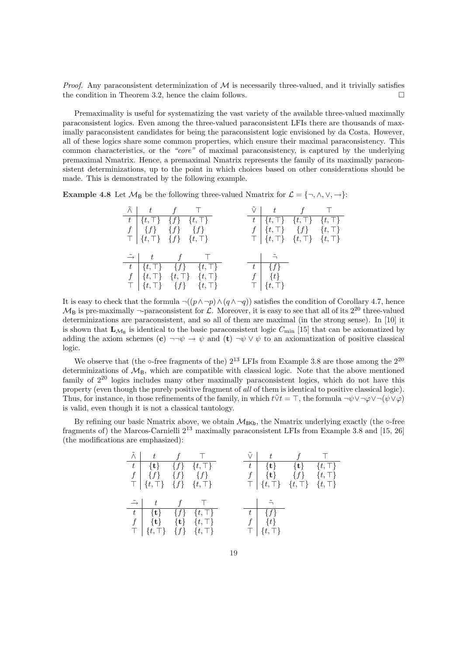*Proof.* Any paraconsistent determinization of  $M$  is necessarily three-valued, and it trivially satisfies the condition in Theorem 3.2, hence the claim follows.  $\Box$ 

Premaximality is useful for systematizing the vast variety of the available three-valued maximally paraconsistent logics. Even among the three-valued paraconsistent LFIs there are thousands of maximally paraconsistent candidates for being the paraconsistent logic envisioned by da Costa. However, all of these logics share some common properties, which ensure their maximal paraconsistency. This common characteristics, or the "core" of maximal paraconsistency, is captured by the underlying premaximal Nmatrix. Hence, a premaximal Nmatrix represents the family of its maximally paraconsistent determinizations, up to the point in which choices based on other considerations should be made. This is demonstrated by the following example.

Example 4.8 Let  $\mathcal{M}_B$  be the following three-valued Nmatrix for  $\mathcal{L} = \{\neg, \wedge, \vee, \rightarrow\}$ :

| $\tilde{\wedge}$ $t$ $f$ $\top$        |                                                                                                                    |  | $\tilde{\vee}$   $t$   $f$   $T$                                                                                                                                                                                                             |  |
|----------------------------------------|--------------------------------------------------------------------------------------------------------------------|--|----------------------------------------------------------------------------------------------------------------------------------------------------------------------------------------------------------------------------------------------|--|
| $f   \{f\} \{f\} \{f\}$                | $t \mid \{t, \top\} \mid \{f\} \mid \{t, \top\}$                                                                   |  | $\boxed{t \mid \{t, \top\} \mid \{t, \top\} \mid \{t, \top\}}$                                                                                                                                                                               |  |
| $\top   \{t, \top\} \{f\} \{t, \top\}$ |                                                                                                                    |  | $\begin{array}{c}\nf\end{array}\n\begin{array}{c}\n\{t, \top\} \\ \{\{t, \top\}\n\end{array}\n\quad\n\begin{array}{c}\n\{f\} \\ \{\{t, \top\}\n\end{array}\n\quad\n\begin{array}{c}\n\{t, \top\} \\ \{\{t, \top\}\n\end{array}\n\end{array}$ |  |
|                                        | $\tilde{\rightarrow}$ $t$ $f$ $\top$                                                                               |  | $\sim$ $\sim$ $\sim$                                                                                                                                                                                                                         |  |
|                                        | $t \mid \{t, \top\}$ $\{f\}$ $\{t, \top\}$<br>$f   \{t, \top\} \{t, \top\} \{t, \top\}$                            |  | $t \mid \{f\}$<br>$f \mid \{t\}$                                                                                                                                                                                                             |  |
|                                        | $\top \begin{array}{c} \uparrow \\ \uparrow \\ \downarrow \\ \uparrow \end{array} \qquad \{f\} \qquad \{t, \top\}$ |  | $\top   \{t,\top\}$                                                                                                                                                                                                                          |  |

It is easy to check that the formula  $\neg((p \land \neg p) \land (q \land \neg q))$  satisfies the condition of Corollary 4.7, hence  $\mathcal{M}_B$  is pre-maximally  $\neg$ -paraconsistent for  $\mathcal{L}$ . Moreover, it is easy to see that all of its 2<sup>20</sup> three-valued determinizations are paraconsistent, and so all of them are maximal (in the strong sense). In [10] it is shown that  $\mathbf{L}_{\mathcal{M}_B}$  is identical to the basic paraconsistent logic  $C_{\text{min}}$  [15] that can be axiomatized by adding the axiom schemes (c)  $\neg\neg\psi \rightarrow \psi$  and (t)  $\neg\psi \vee \psi$  to an axiomatization of positive classical logic.

We observe that (the  $\circ$ -free fragments of the)  $2^{13}$  LFIs from Example 3.8 are those among the  $2^{20}$ determinizations of  $\mathcal{M}_{\rm B}$ , which are compatible with classical logic. Note that the above mentioned family of  $2^{20}$  logics includes many other maximally paraconsistent logics, which do not have this property (even though the purely positive fragment of all of them is identical to positive classical logic). Thus, for instance, in those refinements of the family, in which  $t\tilde{\vee}t = \top$ , the formula  $\neg \psi \vee \neg \varphi \vee \neg (\psi \vee \varphi)$ is valid, even though it is not a classical tautology.

By refining our basic Nmatrix above, we obtain  $M_{8kb}$ , the Nmatrix underlying exactly (the  $\circ$ -free fragments of) the Marcos-Carnielli 2<sup>13</sup> maximally paraconsistent LFIs from Example 3.8 and [15, 26] (the modifications are emphasized):

| $\tilde{\wedge}$   $t$   $f$   $\top$                                                                                          |                                                                                                                                                                                                                                                                                                                                             |  |                                                                                     | $\tilde{\vee}$   $t$   $f$   $\top$                                                                                                                                                                  |  |
|--------------------------------------------------------------------------------------------------------------------------------|---------------------------------------------------------------------------------------------------------------------------------------------------------------------------------------------------------------------------------------------------------------------------------------------------------------------------------------------|--|-------------------------------------------------------------------------------------|------------------------------------------------------------------------------------------------------------------------------------------------------------------------------------------------------|--|
| $t \begin{bmatrix} t \end{bmatrix}$ $\{t\}$ $\{t, \top\}$<br>$f   \{f\} \{f\} \{f\}$<br>$\top   \{t, \top\} \{f\} \{t, \top\}$ |                                                                                                                                                                                                                                                                                                                                             |  |                                                                                     | $t \mid {\mathbf{t}} \rbrace$ $\{t\}$ $\{t, \top\}$<br>$f \mid \{\mathbf{t}\} \quad \{f\} \quad \{t,\top\}$<br>$\mathcal{T} \mid \{t, \mathcal{T}\} \mid \{t, \mathcal{T}\} \mid \{t, \mathcal{T}\}$ |  |
| $\tilde{\rightarrow}$ $t$ $f$ $\top$<br>$f \mid {\mathbf{t}} \} {\mathbf{t}} \tag{t}$<br>$\top   \{t,\top\} \{f\} \{t,\top\}$  | t $\mathfrak{t}$ $\mathfrak{t}$ $\mathfrak{t}$ $\mathfrak{t}$ $\mathfrak{t}$ $\mathfrak{t}$ $\mathfrak{t}$ $\mathfrak{t}$ $\mathfrak{t}$ $\mathfrak{t}$ $\mathfrak{t}$ $\mathfrak{t}$ $\mathfrak{t}$ $\mathfrak{t}$ $\mathfrak{t}$ $\mathfrak{t}$ $\mathfrak{t}$ $\mathfrak{t}$ $\mathfrak{t}$ $\mathfrak{t}$ $\mathfrak{t}$ $\mathfrak{t}$ |  | $\overline{\phantom{a}}$<br>$t \mid \{f\}$<br>$f \mid \{t\}$<br>$\top   \{t,\top\}$ |                                                                                                                                                                                                      |  |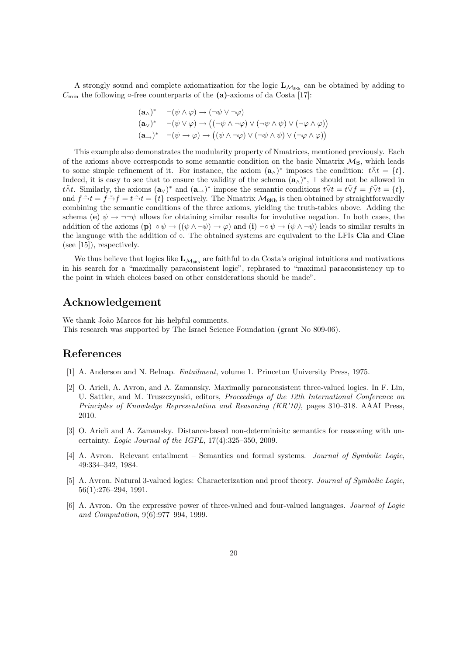A strongly sound and complete axiomatization for the logic  $L_{\mathcal{M}_{8kb}}$  can be obtained by adding to  $C_{\text{min}}$  the following  $\circ$ -free counterparts of the (a)-axioms of da Costa [17]:

$$
(\mathbf{a}_{\wedge})^* \quad \neg(\psi \wedge \varphi) \rightarrow (\neg \psi \vee \neg \varphi)
$$
  
\n
$$
(\mathbf{a}_{\vee})^* \quad \neg(\psi \vee \varphi) \rightarrow ((\neg \psi \wedge \neg \varphi) \vee (\neg \psi \wedge \psi) \vee (\neg \varphi \wedge \varphi))
$$
  
\n
$$
(\mathbf{a}_{\rightarrow})^* \quad \neg(\psi \rightarrow \varphi) \rightarrow ((\psi \wedge \neg \varphi) \vee (\neg \psi \wedge \psi) \vee (\neg \varphi \wedge \varphi))
$$

This example also demonstrates the modularity property of Nmatrices, mentioned previously. Each of the axioms above corresponds to some semantic condition on the basic Nmatrix  $\mathcal{M}_{\rm B}$ , which leads to some simple refinement of it. For instance, the axiom  $(\mathbf{a}_{\wedge})^*$  imposes the condition:  $t\tilde{\wedge}t = \{t\}.$ Indeed, it is easy to see that to ensure the validity of the schema  $(a_0)^*$ ,  $\top$  should not be allowed in *t*∧̃t. Similarly, the axioms  $(\mathbf{a}_{\vee})^*$  and  $(\mathbf{a}_{\rightarrow})^*$  impose the semantic conditions  $t\tilde{\vee}t = t\tilde{\vee}f = f\tilde{\vee}t = \{t\}$ , and  $f \tilde{\rightarrow} t = f \tilde{\rightarrow} f = t \tilde{\rightarrow} t = \{t\}$  respectively. The Nmatrix  $\mathcal{M}_{8kb}$  is then obtained by straightforwardly combining the semantic conditions of the three axioms, yielding the truth-tables above. Adding the schema (e)  $\psi \rightarrow \neg\neg\psi$  allows for obtaining similar results for involutive negation. In both cases, the addition of the axioms (p) ∘ $\psi \to ((\psi \land \neg \psi) \to \varphi)$  and (i)  $\neg \circ \psi \to (\psi \land \neg \psi)$  leads to similar results in the language with the addition of ◦. The obtained systems are equivalent to the LFIs Cia and Ciae (see [15]), respectively.

We thus believe that logics like  $L_{\mathcal{M}_{8kb}}$  are faithful to da Costa's original intuitions and motivations in his search for a "maximally paraconsistent logic", rephrased to "maximal paraconsistency up to the point in which choices based on other considerations should be made".

# Acknowledgement

We thank João Marcos for his helpful comments. This research was supported by The Israel Science Foundation (grant No 809-06).

## References

- [1] A. Anderson and N. Belnap. Entailment, volume 1. Princeton University Press, 1975.
- [2] O. Arieli, A. Avron, and A. Zamansky. Maximally paraconsistent three-valued logics. In F. Lin, U. Sattler, and M. Truszczynski, editors, *Proceedings of the 12th International Conference on* Principles of Knowledge Representation and Reasoning (KR'10), pages 310–318. AAAI Press, 2010.
- [3] O. Arieli and A. Zamansky. Distance-based non-determinisitc semantics for reasoning with uncertainty. Logic Journal of the IGPL,  $17(4):325-350$ ,  $2009$ .
- [4] A. Avron. Relevant entailment Semantics and formal systems. Journal of Symbolic Logic, 49:334–342, 1984.
- [5] A. Avron. Natural 3-valued logics: Characterization and proof theory. Journal of Symbolic Logic, 56(1):276–294, 1991.
- [6] A. Avron. On the expressive power of three-valued and four-valued languages. *Journal of Logic* and Computation, 9(6):977–994, 1999.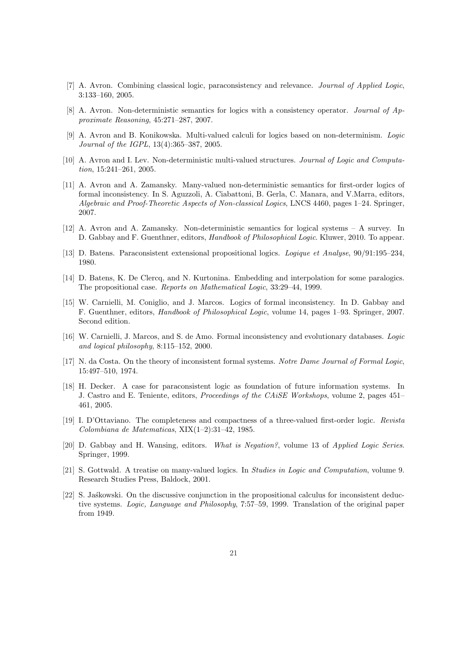- [7] A. Avron. Combining classical logic, paraconsistency and relevance. Journal of Applied Logic, 3:133–160, 2005.
- [8] A. Avron. Non-deterministic semantics for logics with a consistency operator. Journal of Approximate Reasoning, 45:271–287, 2007.
- [9] A. Avron and B. Konikowska. Multi-valued calculi for logics based on non-determinism. Logic Journal of the IGPL, 13(4):365–387, 2005.
- [10] A. Avron and I. Lev. Non-deterministic multi-valued structures. Journal of Logic and Computation, 15:241–261, 2005.
- [11] A. Avron and A. Zamansky. Many-valued non-deterministic semantics for first-order logics of formal inconsistency. In S. Aguzzoli, A. Ciabattoni, B. Gerla, C. Manara, and V.Marra, editors, Algebraic and Proof-Theoretic Aspects of Non-classical Logics, LNCS 4460, pages 1–24. Springer, 2007.
- [12] A. Avron and A. Zamansky. Non-deterministic semantics for logical systems A survey. In D. Gabbay and F. Guenthner, editors, *Handbook of Philosophical Logic*. Kluwer, 2010. To appear.
- [13] D. Batens. Paraconsistent extensional propositional logics. Logique et Analyse, 90/91:195–234, 1980.
- [14] D. Batens, K. De Clercq, and N. Kurtonina. Embedding and interpolation for some paralogics. The propositional case. Reports on Mathematical Logic, 33:29–44, 1999.
- [15] W. Carnielli, M. Coniglio, and J. Marcos. Logics of formal inconsistency. In D. Gabbay and F. Guenthner, editors, Handbook of Philosophical Logic, volume 14, pages 1–93. Springer, 2007. Second edition.
- [16] W. Carnielli, J. Marcos, and S. de Amo. Formal inconsistency and evolutionary databases. Logic and logical philosophy, 8:115–152, 2000.
- [17] N. da Costa. On the theory of inconsistent formal systems. Notre Dame Journal of Formal Logic, 15:497–510, 1974.
- [18] H. Decker. A case for paraconsistent logic as foundation of future information systems. In J. Castro and E. Teniente, editors, *Proceedings of the CAiSE Workshops*, volume 2, pages 451– 461, 2005.
- [19] I. D'Ottaviano. The completeness and compactness of a three-valued first-order logic. Revista Colombiana de Matematicas, XIX(1–2):31–42, 1985.
- [20] D. Gabbay and H. Wansing, editors. What is Negation?, volume 13 of Applied Logic Series. Springer, 1999.
- [21] S. Gottwald. A treatise on many-valued logics. In Studies in Logic and Computation, volume 9. Research Studies Press, Baldock, 2001.
- [22] S. Jaskowski. On the discussive conjunction in the propositional calculus for inconsistent deductive systems. Logic, Language and Philosophy, 7:57–59, 1999. Translation of the original paper from 1949.